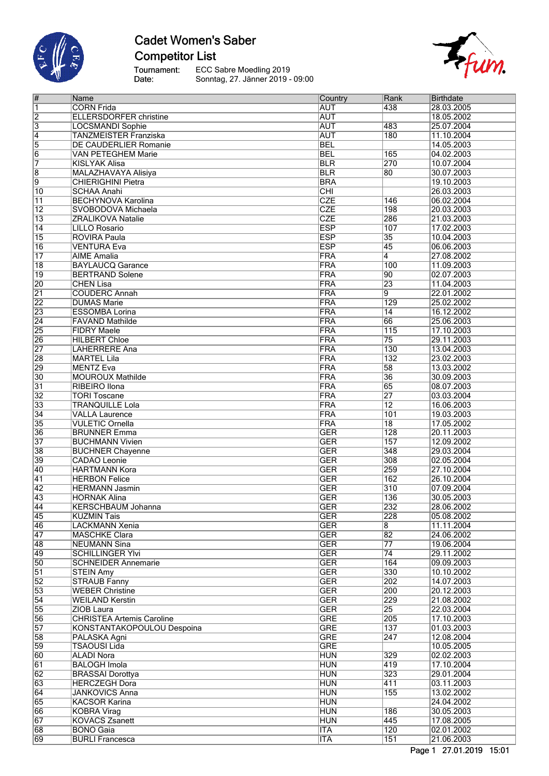

### **Cadet Women's Saber Competitor List**

Tournament:<br>Date: ECC Sabre Moedling 2019 Sonntag, 27. Jänner 2019 - 09:00



| #                       | Name                             | Country    | Rank             | Birthdate  |
|-------------------------|----------------------------------|------------|------------------|------------|
| $\overline{\mathbf{1}}$ | <b>CORN Frida</b>                | <b>AUT</b> | 438              | 28.03.2005 |
| $\overline{2}$          | <b>ELLERSDORFER christine</b>    | <b>AUT</b> |                  | 18.05.2002 |
| $\overline{3}$          | <b>LOCSMANDI Sophie</b>          | <b>AUT</b> | 483              | 25.07.2004 |
| $\overline{4}$          | <b>TANZMEISTER Franziska</b>     | <b>AUT</b> | 180              | 11.10.2004 |
| 5                       | DE CAUDERLIER Romanie            | <b>BEL</b> |                  | 14.05.2003 |
| $\overline{6}$          | <b>VAN PETEGHEM Marie</b>        | <b>BEL</b> | 165              | 04.02.2003 |
| 7                       | <b>KISLYAK Alisa</b>             | <b>BLR</b> | 270              | 10.07.2004 |
|                         |                                  | <b>BLR</b> | $\overline{80}$  |            |
| $\overline{8}$          | <b>MALAZHAVAYA Alisiya</b>       |            |                  | 30.07.2003 |
| 9                       | <b>CHIERIGHINI Pietra</b>        | <b>BRA</b> |                  | 19.10.2003 |
| $\overline{10}$         | <b>SCHAA Anahi</b>               | CHI        |                  | 26.03.2003 |
| $\overline{11}$         | <b>BECHYNOVA Karolina</b>        | <b>CZE</b> | 146              | 06.02.2004 |
| $\overline{12}$         | SVOBODOVA Michaela               | <b>CZE</b> | 198              | 20.03.2003 |
| $\overline{13}$         | <b>ZRALIKOVA Natalie</b>         | <b>CZE</b> | 286              | 21.03.2003 |
| $\overline{14}$         | <b>LILLO Rosario</b>             | <b>ESP</b> | 107              | 17.02.2003 |
| 15                      | <b>ROVIRA Paula</b>              | <b>ESP</b> | 35               | 10.04.2003 |
| $\overline{16}$         | <b>VENTURA Eva</b>               | <b>ESP</b> | 45               | 06.06.2003 |
| $\overline{17}$         | <b>AIME</b> Amalia               | <b>FRA</b> | $\overline{4}$   | 27.08.2002 |
| $\overline{18}$         | <b>BAYLAUCQ Garance</b>          | <b>FRA</b> | 100              | 11.09.2003 |
| $\overline{19}$         | <b>BERTRAND Solene</b>           | <b>FRA</b> | $\overline{90}$  | 02.07.2003 |
| 20                      | <b>CHEN Lisa</b>                 | <b>FRA</b> | 23               | 11.04.2003 |
|                         |                                  |            |                  |            |
| $\overline{21}$         | <b>COUDERC Annah</b>             | <b>FRA</b> | $\overline{9}$   | 22.01.2002 |
| $\overline{22}$         | <b>DUMAS Marie</b>               | <b>FRA</b> | 129              | 25.02.2002 |
| 23                      | <b>ESSOMBA Lorina</b>            | <b>FRA</b> | $\overline{14}$  | 16.12.2002 |
| $\overline{24}$         | <b>FAVAND Mathilde</b>           | FRA        | 66               | 25.06.2003 |
| 25                      | <b>FIDRY Maele</b>               | FRA        | $\overline{115}$ | 17.10.2003 |
| 26                      | <b>HILBERT Chloe</b>             | <b>FRA</b> | $\overline{75}$  | 29.11.2003 |
| $\overline{27}$         | <b>LAHERRERE Ana</b>             | <b>FRA</b> | 130              | 13.04.2003 |
| 28                      | <b>MARTEL Lila</b>               | <b>FRA</b> | 132              | 23.02.2003 |
| 29                      | <b>MENTZ Eva</b>                 | <b>FRA</b> | $\overline{58}$  | 13.03.2002 |
| $\overline{30}$         | <b>MOUROUX Mathilde</b>          | <b>FRA</b> | 36               | 30.09.2003 |
| $\overline{31}$         | RIBEIRO Ilona                    | <b>FRA</b> | 65               | 08.07.2003 |
| $\overline{32}$         | <b>TORI Toscane</b>              | <b>FRA</b> | 27               | 03.03.2004 |
|                         |                                  |            |                  |            |
| $\overline{33}$         | <b>TRANQUILLE Lola</b>           | <b>FRA</b> | $\overline{12}$  | 16.06.2003 |
| $\overline{34}$         | <b>VALLA Laurence</b>            | FRA        | 101              | 19.03.2003 |
| 35                      | <b>VULETIC Ornella</b>           | FRA        | $\overline{18}$  | 17.05.2002 |
| 36                      | <b>BRUNNER Emma</b>              | <b>GER</b> | $\overline{128}$ | 20.11.2003 |
| $\overline{37}$         | <b>BUCHMANN Vivien</b>           | <b>GER</b> | 157              | 12.09.2002 |
| 38                      | <b>BUCHNER Chayenne</b>          | <b>GER</b> | 348              | 29.03.2004 |
| 39                      | <b>CADAO</b> Leonie              | <b>GER</b> | 308              | 02.05.2004 |
| 40                      | <b>HARTMANN Kora</b>             | <b>GER</b> | 259              | 27.10.2004 |
| $\overline{41}$         | <b>HERBON Felice</b>             | <b>GER</b> | 162              | 26.10.2004 |
| $\overline{42}$         | <b>HERMANN Jasmin</b>            | <b>GER</b> | $\overline{310}$ | 07.09.2004 |
| 43                      | <b>HORNAK Alina</b>              | <b>GER</b> | 136              | 30.05.2003 |
| 44                      | <b>KERSCHBAUM Johanna</b>        | <b>GER</b> | 232              | 28.06.2002 |
| 45                      |                                  | <b>GER</b> | 228              | 05.08.2002 |
|                         | KUZMIN Tais                      |            |                  |            |
| 46                      | <b>LACKMANN Xenia</b>            | <b>GER</b> | 8                | 11.11.2004 |
| 47                      | <b>MASCHKE Clara</b>             | <b>GER</b> | $\overline{82}$  | 24.06.2002 |
| 48                      | <b>NEUMANN Sina</b>              | <b>GER</b> | $\overline{77}$  | 19.06.2004 |
| 49                      | <b>SCHILLINGER YIvi</b>          | <b>GER</b> | $\overline{74}$  | 29.11.2002 |
| $\overline{50}$         | <b>SCHNEIDER Annemarie</b>       | <b>GER</b> | 164              | 09.09.2003 |
| $\overline{51}$         | <b>STEIN Amy</b>                 | <b>GER</b> | 330              | 10.10.2002 |
| $\overline{52}$         | <b>STRAUB Fanny</b>              | <b>GER</b> | 202              | 14.07.2003 |
| 53                      | <b>WEBER Christine</b>           | <b>GER</b> | 200              | 20.12.2003 |
| $\overline{54}$         | <b>WEILAND Kerstin</b>           | <b>GER</b> | 229              | 21.08.2002 |
| 55                      | ZIOB Laura                       | <b>GER</b> | $\overline{25}$  | 22.03.2004 |
| 56                      | <b>CHRISTEA Artemis Caroline</b> | <b>GRE</b> | $\overline{205}$ | 17.10.2003 |
| $\overline{57}$         | KONSTANTAKOPOULOU Despoina       | <b>GRE</b> | 137              | 01.03.2003 |
|                         |                                  | <b>GRE</b> | 247              |            |
| 58                      | PALASKA Agni                     |            |                  | 12.08.2004 |
| 59                      | <b>TSAOUSI Lida</b>              | <b>GRE</b> |                  | 10.05.2005 |
| 60                      | <b>ALADI Nora</b>                | <b>HUN</b> | 329              | 02.02.2003 |
| $\overline{61}$         | <b>BALOGH Imola</b>              | <b>HUN</b> | 419              | 17.10.2004 |
| 62                      | <b>BRASSAI Dorottya</b>          | <b>HUN</b> | 323              | 29.01.2004 |
| 63                      | <b>HERCZEGH Dora</b>             | <b>HUN</b> | 411              | 03.11.2003 |
| 64                      | <b>JANKOVICS Anna</b>            | <b>HUN</b> | 155              | 13.02.2002 |
| 65                      | <b>KACSOR Karina</b>             | <b>HUN</b> |                  | 24.04.2002 |
| 66                      | <b>KOBRA Virag</b>               | <b>HUN</b> | 186              | 30.05.2003 |
| 67                      | <b>KOVACS Zsanett</b>            | <b>HUN</b> | 445              | 17.08.2005 |
| 68                      | <b>BONO Gaia</b>                 | <b>ITA</b> | 120              | 02.01.2002 |
| 69                      | <b>BURLI Francesca</b>           | <b>ITA</b> | 151              | 21.06.2003 |
|                         |                                  |            |                  |            |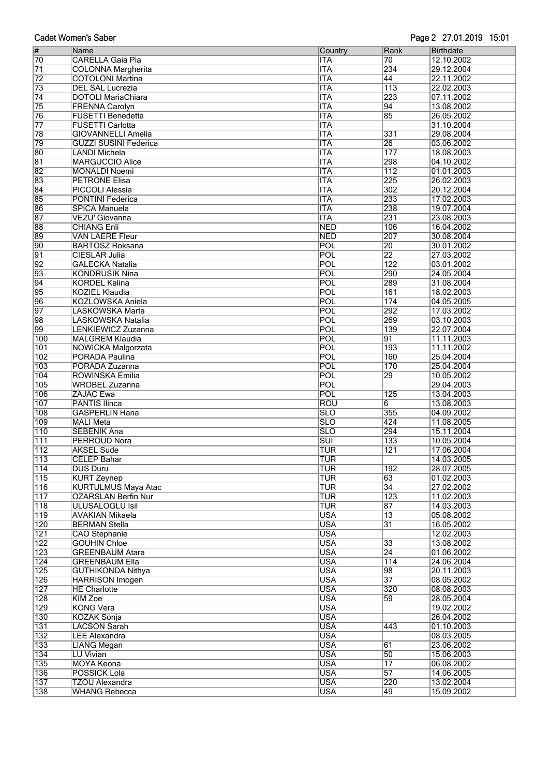|                                    | <b>Cadet Women's Saber</b>                           |                          |                                    | Page 2 27.01.2019 15:01  |
|------------------------------------|------------------------------------------------------|--------------------------|------------------------------------|--------------------------|
| $\overline{\#}$                    | Name                                                 | Country                  | Rank                               | <b>Birthdate</b>         |
| 70                                 | <b>CARELLA Gaia Pia</b>                              | <b>ITA</b>               | 70                                 | 12.10.2002               |
| $\overline{71}$                    | <b>COLONNA Margherita</b>                            | <b>ITA</b>               | 234                                | 29.12.2004               |
| 72                                 | <b>COTOLONI Martina</b>                              | <b>ITA</b>               | 44                                 | 22.11.2002               |
| $\overline{73}$<br>$\overline{74}$ | <b>DEL SAL Lucrezia</b><br><b>DOTOLI MariaChiara</b> | <b>ITA</b><br><b>ITA</b> | 113<br>223                         | 22.02.2003               |
| 75                                 | <b>FRENNA Carolyn</b>                                | <b>ITA</b>               | $\overline{94}$                    | 07.11.2002<br>13.08.2002 |
| 76                                 | <b>FUSETTI Benedetta</b>                             | <b>ITA</b>               | 85                                 | 26.05.2002               |
| $\overline{77}$                    | <b>FUSETTI Carlotta</b>                              | <b>ITA</b>               |                                    | 31.10.2004               |
| 78                                 | <b>GIOVANNELLI Amelia</b>                            | <b>ITA</b>               | 331                                | 29.08.2004               |
| 79                                 | <b>GUZZI SUSINI Federica</b>                         | <b>ITA</b>               | 26                                 | 03.06.2002               |
| 80                                 | <b>LANDI Michela</b>                                 | <b>ITA</b>               | $\overline{177}$                   | 18.08.2003               |
| 81                                 | <b>MARGUCCIO Alice</b>                               | <b>ITA</b>               | 298                                | 04.10.2002               |
| 82                                 | MONALDI Noemi                                        | <b>ITA</b>               | $\overline{112}$                   | 01.01.2003               |
| 83                                 | <b>PETRONE Elisa</b>                                 | <b>ITA</b>               | 225                                | 26.02.2003               |
| 84<br>85                           | <b>PICCOLI Alessia</b>                               | <b>ITA</b><br><b>ITA</b> | $\overline{302}$<br>233            | 20.12.2004<br>17.02.2003 |
| 86                                 | <b>PONTINI Federica</b><br><b>SPICA Manuela</b>      | <b>ITA</b>               | 238                                | 19.07.2004               |
| 87                                 | VEZU' Giovanna                                       | <b>ITA</b>               | 231                                | 23.08.2003               |
| 88                                 | <b>CHIANG Enli</b>                                   | <b>NED</b>               | 106                                | 16.04.2002               |
| 89                                 | <b>VAN LAERE Fleur</b>                               | <b>NED</b>               | 207                                | 30.08.2004               |
| $\overline{90}$                    | <b>BARTOSZ Roksana</b>                               | POL                      | 20                                 | 30.01.2002               |
| $\overline{91}$                    | <b>CIESLAR Julia</b>                                 | POL                      | 22                                 | 27.03.2002               |
| 92                                 | <b>GALECKA Natalia</b>                               | POL                      | $\overline{122}$                   | 03.01.2002               |
| 93                                 | <b>KONDRUSIK Nina</b>                                | <b>POL</b>               | 290                                | 24.05.2004               |
| 94                                 | <b>KORDEL Kalina</b>                                 | POL                      | 289                                | 31.08.2004               |
| 95                                 | KOZIEL Klaudia                                       | POL                      | 161                                | 18.02.2003               |
| 96<br>97                           | KOZLOWSKA Aniela<br>LASKOWSKA Marta                  | POL<br>POL               | 174<br>292                         | 04.05.2005<br>17.03.2002 |
| 98                                 | LASKOWSKA Natalia                                    | POL                      | 269                                | 03.10.2003               |
| 99                                 | LENKIEWICZ Zuzanna                                   | POL                      | 139                                | 22.07.2004               |
| 100                                | <b>MALGREM Klaudia</b>                               | POL                      | $\overline{91}$                    | 11.11.2003               |
| 101                                | <b>NOWICKA Malgorzata</b>                            | POL                      | 193                                | 11.11.2002               |
| 102                                | PORADA Paulina                                       | POL                      | 160                                | 25.04.2004               |
| 103                                | PORADA Zuzanna                                       | POL                      | 170                                | 25.04.2004               |
| 104                                | <b>ROWINSKA Emilia</b>                               | POL                      | 29                                 | 10.05.2002               |
| 105                                | <b>WROBEL Zuzanna</b>                                | POL                      |                                    | 29.04.2003               |
| 106<br>107                         | ZAJAC Ewa<br><b>PANTIS Ilinca</b>                    | POL<br><b>ROU</b>        | 125<br>6                           | 13.04.2003<br>13.08.2003 |
| 108                                | <b>GASPERLIN Hana</b>                                | $\overline{\text{SLO}}$  | 355                                | 04.09.2002               |
| 109                                | <b>MALI Meta</b>                                     | $\overline{\text{SLO}}$  | 424                                | 11.08.2005               |
| 110                                | <b>SEBENIK Ana</b>                                   | <b>SLO</b>               | 294                                | 15.11.2004               |
| $\overline{111}$                   | PERROUD Nora                                         | $\overline{SUI}$         | 133                                | 10.05.2004               |
| 112                                | <b>AKSEL Sude</b>                                    | <b>TUR</b>               | 121                                | 17.06.2004               |
| $\overline{113}$                   | <b>CELEP Bahar</b>                                   | TUR                      |                                    | 14.03.2005               |
| 114                                | <b>DUS Duru</b>                                      | <b>TUR</b>               | 192                                | 28.07.2005               |
| 115<br>116                         | <b>KURT Zeynep</b><br><b>KURTULMUS Maya Atac</b>     | TUR<br>TUR               | 63<br>34                           | 01.02.2003<br>27.02.2002 |
| $\overline{117}$                   | <b>OZARSLAN Berfin Nur</b>                           | TUR                      | 123                                | 11.02.2003               |
| 118                                | <b>ULUSALOGLU Isil</b>                               | TUR                      | $\overline{87}$                    | 14.03.2003               |
| 119                                | <b>AVAKIAN Mikaela</b>                               | <b>USA</b>               | $\overline{13}$                    | 05.08.2002               |
| 120                                | <b>BERMAN Stella</b>                                 | <b>USA</b>               | $\overline{31}$                    | 16.05.2002               |
| $\overline{121}$                   | <b>CAO</b> Stephanie                                 | <b>USA</b>               |                                    | 12.02.2003               |
| $\overline{122}$                   | <b>GOUHIN Chloe</b>                                  | <b>USA</b>               | 33                                 | 13.08.2002               |
| 123                                | <b>GREENBAUM Atara</b>                               | <b>USA</b>               | $\overline{24}$                    | 01.06.2002               |
| 124                                | <b>GREENBAUM Ella</b>                                | <b>USA</b><br><b>USA</b> | $\overline{114}$<br>98             | 24.06.2004               |
| $\overline{125}$<br>126            | <b>GUTHIKONDA Nithya</b><br><b>HARRISON Imogen</b>   | <b>USA</b>               | 37                                 | 20.11.2003<br>08.05.2002 |
| 127                                | <b>HE Charlotte</b>                                  | <b>USA</b>               | 320                                | 08.08.2003               |
| 128                                | KIM Zoe                                              | <b>USA</b>               | 59                                 | 28.05.2004               |
| 129                                | <b>KONG Vera</b>                                     | <b>USA</b>               |                                    | 19.02.2002               |
| 130                                | <b>KOZAK Sonja</b>                                   | <b>USA</b>               |                                    | 26.04.2002               |
| 131                                | <b>LACSON Sarah</b>                                  | <b>USA</b>               | 443                                | 01.10.2003               |
| 132                                | <b>LEE Alexandra</b>                                 | <b>USA</b>               |                                    | 08.03.2005               |
| 133                                | <b>LIANG Megan</b>                                   | <b>USA</b>               | 61                                 | 23.06.2002               |
| 134                                | LU Vivian                                            | <b>USA</b><br><b>USA</b> | $\overline{50}$<br>$\overline{17}$ | 15.06.2003               |
| 135<br>136                         | <b>MOYA Keona</b><br>POSSICK Lola                    | <b>USA</b>               | $\overline{57}$                    | 06.08.2002<br>14.06.2005 |
| 137                                | <b>TZOU Alexandra</b>                                | <b>USA</b>               | 220                                | 13.02.2004               |
| 138                                | <b>WHANG Rebecca</b>                                 | <b>USA</b>               | 49                                 | 15.09.2002               |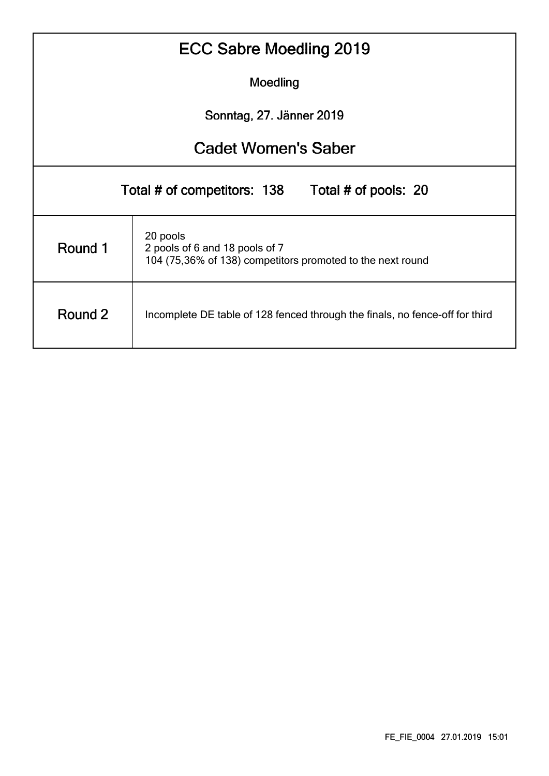| ECC Sabre Moedling 2019                          |                                                                                                          |  |  |  |  |  |  |  |  |  |  |  |
|--------------------------------------------------|----------------------------------------------------------------------------------------------------------|--|--|--|--|--|--|--|--|--|--|--|
|                                                  | Moedling                                                                                                 |  |  |  |  |  |  |  |  |  |  |  |
|                                                  | Sonntag, 27. Jänner 2019                                                                                 |  |  |  |  |  |  |  |  |  |  |  |
| <b>Cadet Women's Saber</b>                       |                                                                                                          |  |  |  |  |  |  |  |  |  |  |  |
| Total # of competitors: 138 Total # of pools: 20 |                                                                                                          |  |  |  |  |  |  |  |  |  |  |  |
| Round 1                                          | 20 pools<br>2 pools of 6 and 18 pools of 7<br>104 (75,36% of 138) competitors promoted to the next round |  |  |  |  |  |  |  |  |  |  |  |
| Round 2                                          | Incomplete DE table of 128 fenced through the finals, no fence-off for third                             |  |  |  |  |  |  |  |  |  |  |  |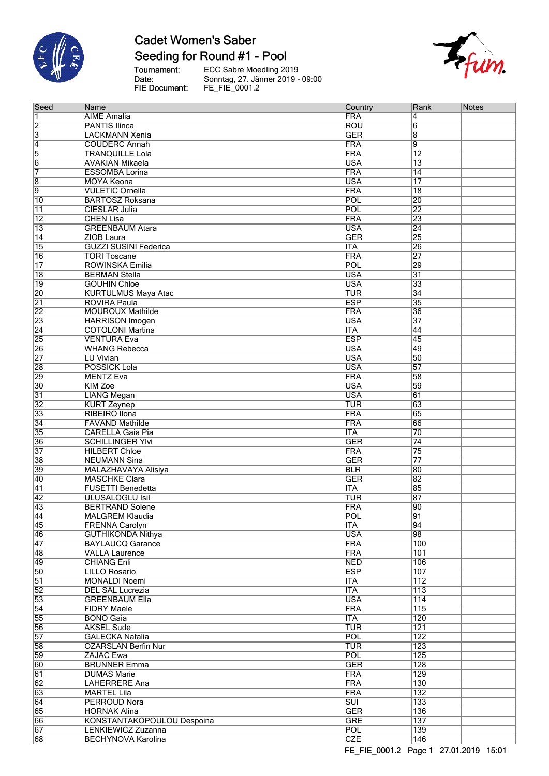

# **Cadet Women's Saber**

Seeding for Round #1 - Pool

Tournament:<br>Date:<br>FIE Document:

ECC Sabre Moedling 2019<br>Sonntag, 27. Jänner 2019 - 09:00<br>FE\_FIE\_0001.2



| Seed                  | Name                                           | Country                  | Rank                    | <b>Notes</b> |
|-----------------------|------------------------------------------------|--------------------------|-------------------------|--------------|
| 1                     | <b>AIME</b> Amalia                             | <b>FRA</b>               | 4                       |              |
| $\overline{2}$        | <b>PANTIS Ilinca</b>                           | <b>ROU</b>               | 6                       |              |
| $\overline{3}$        | <b>LACKMANN Xenia</b>                          | <b>GER</b>               | 8                       |              |
| $\overline{4}$        | <b>COUDERC Annah</b>                           | <b>FRA</b>               | $\overline{9}$          |              |
| $\overline{5}$        | <b>TRANQUILLE Lola</b>                         | FRA                      | $\overline{12}$         |              |
| $\overline{6}$        | <b>AVAKIAN Mikaela</b>                         | <b>USA</b>               | $\overline{13}$         |              |
| 7                     | <b>ESSOMBA Lorina</b>                          | FRA                      | $\overline{14}$         |              |
| $\overline{8}$        | <b>MOYA Keona</b>                              | <b>USA</b>               | $\overline{17}$         |              |
| 9                     | <b>VULETIC Ornella</b>                         | <b>FRA</b>               | $\overline{18}$         |              |
| $\overline{10}$       | <b>BARTOSZ Roksana</b>                         | POL                      | $\overline{20}$         |              |
| $\overline{11}$       | CIESLAR Julia                                  | POL                      | $\overline{22}$         |              |
| $\overline{12}$       | <b>CHEN Lisa</b>                               | <b>FRA</b>               | 23                      |              |
| $\overline{13}$       | <b>GREENBAUM Atara</b>                         | <b>USA</b>               | $\overline{24}$         |              |
| $\overline{14}$       | ZIOB Laura                                     | <b>GER</b>               | $\overline{25}$         |              |
| $\overline{15}$       | <b>GUZZI SUSINI Federica</b>                   | <b>ITA</b>               | 26                      |              |
| $\overline{16}$       | <b>TORI Toscane</b>                            | <b>FRA</b>               | $\overline{27}$         |              |
| $\overline{17}$       | ROWINSKA Emilia                                | POL                      | 29                      |              |
| $\overline{18}$       | <b>BERMAN Stella</b>                           | <b>USA</b>               | $\overline{31}$         |              |
| $\overline{19}$       | <b>GOUHIN Chloe</b>                            | <b>USA</b>               | $\overline{33}$         |              |
| 20                    | <b>KURTULMUS Maya Atac</b>                     | <b>TUR</b>               | $\overline{34}$         |              |
| $\overline{21}$       | <b>ROVIRA Paula</b>                            | <b>ESP</b>               | $\overline{35}$         |              |
| $\overline{22}$       | <b>MOUROUX Mathilde</b>                        | <b>FRA</b>               | 36                      |              |
| 23                    | <b>HARRISON Imogen</b>                         | <b>USA</b>               | $\overline{37}$         |              |
| $\overline{24}$       | <b>COTOLONI Martina</b>                        | <b>ITA</b>               | 44                      |              |
| 25                    | <b>VENTURA Eva</b>                             | <b>ESP</b>               | 45                      |              |
| 26                    | <b>WHANG Rebecca</b>                           | <b>USA</b>               | 49                      |              |
| $\overline{27}$       | LU Vivian                                      | <b>USA</b>               | $\overline{50}$         |              |
| 28                    | <b>POSSICK Lola</b>                            | <b>USA</b>               | $\overline{57}$         |              |
| 29                    | <b>MENTZ Eva</b>                               | <b>FRA</b>               | 58                      |              |
| 30                    | <b>KIM Zoe</b>                                 | <b>USA</b>               | 59                      |              |
| $\overline{31}$       | <b>LIANG Megan</b>                             | <b>USA</b>               | 61                      |              |
| $\overline{32}$       | <b>KURT Zeynep</b>                             | <b>TUR</b>               | 63                      |              |
| 33                    | RIBEIRO Ilona                                  | <b>FRA</b>               | 65                      |              |
| $\overline{34}$       | <b>FAVAND Mathilde</b>                         | <b>FRA</b>               | 66                      |              |
| 35                    | <b>CARELLA Gaia Pia</b>                        | <b>ITA</b>               | 70                      |              |
| 36                    | <b>SCHILLINGER YIvi</b>                        | <b>GER</b>               | $\overline{74}$         |              |
| $\overline{37}$       | <b>HILBERT Chloe</b>                           | <b>FRA</b>               | $\overline{75}$         |              |
| 38                    | <b>NEUMANN Sina</b>                            | <b>GER</b>               | $\overline{77}$         |              |
| 39                    | <b>MALAZHAVAYA Alisiya</b>                     | <b>BLR</b>               | 80                      |              |
| 40                    | <b>MASCHKE Clara</b>                           | <b>GER</b>               | 82                      |              |
| $\overline{41}$       | <b>FUSETTI Benedetta</b>                       | <b>ITA</b>               | 85                      |              |
| $\overline{42}$       | <b>ULUSALOGLU Isil</b>                         | <b>TUR</b>               | 87                      |              |
| 43                    | <b>BERTRAND Solene</b>                         | <b>FRA</b>               | 90                      |              |
| 44                    | MALGREM Klaudia                                | POL                      | 91                      |              |
| 45                    | <b>FRENNA Carolyn</b>                          | <b>ITA</b>               | 94                      |              |
| 46                    | <b>GUTHIKONDA Nithya</b>                       | <b>USA</b>               | 98                      |              |
| 47                    | <b>BAYLAUCQ Garance</b>                        | <b>FRA</b>               | 100                     |              |
| 48                    | <b>VALLA Laurence</b>                          | <b>FRA</b>               | 101                     |              |
| 49                    | <b>CHIANG Enli</b>                             | <b>NED</b>               | 106                     |              |
| 50                    | LILLO Rosario                                  | <b>ESP</b>               | 107                     |              |
| $\overline{51}$       | <b>MONALDI Noemi</b>                           | <b>ITA</b>               | $\overline{112}$        |              |
| $\overline{52}$       | <b>DEL SAL Lucrezia</b>                        | <b>ITA</b>               | 113                     |              |
| 53<br>$\overline{54}$ | <b>GREENBAUM Ella</b><br><b>FIDRY Maele</b>    | <b>USA</b><br><b>FRA</b> | $\overline{114}$<br>115 |              |
| 55                    |                                                | <b>ITA</b>               | 120                     |              |
|                       | <b>BONO</b> Gaia                               | <b>TUR</b>               | 121                     |              |
| 56<br>57              | <b>AKSEL Sude</b><br><b>GALECKA Natalia</b>    | <b>POL</b>               | $\overline{122}$        |              |
| 58                    |                                                | <b>TUR</b>               | $\overline{123}$        |              |
| 59                    | <b>OZARSLAN Berfin Nur</b><br><b>ZAJAC Ewa</b> | POL                      | $\overline{125}$        |              |
| 60                    | <b>BRUNNER Emma</b>                            | <b>GER</b>               | $\overline{128}$        |              |
| 61                    | <b>DUMAS Marie</b>                             | <b>FRA</b>               | $\overline{129}$        |              |
| 62                    | <b>LAHERRERE Ana</b>                           | <b>FRA</b>               | 130                     |              |
| 63                    | <b>MARTEL Lila</b>                             | <b>FRA</b>               | 132                     |              |
| 64                    | PERROUD Nora                                   | $\overline{\text{SUI}}$  | 133                     |              |
| 65                    | <b>HORNAK Alina</b>                            | <b>GER</b>               | 136                     |              |
| 66                    | KONSTANTAKOPOULOU Despoina                     | <b>GRE</b>               | 137                     |              |
| 67                    | LENKIEWICZ Zuzanna                             | POL                      | 139                     |              |
| 68                    | <b>BECHYNOVA Karolina</b>                      | <b>CZE</b>               | 146                     |              |
|                       |                                                |                          |                         |              |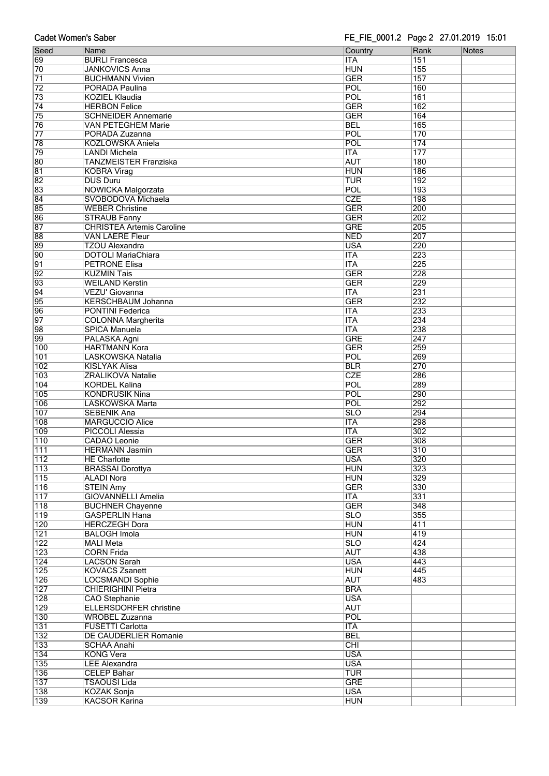| <b>Cadet Women's Saber</b> |                                                         | FE_FIE_0001.2 Page 2 27.01.2019 15:01 |                         |              |
|----------------------------|---------------------------------------------------------|---------------------------------------|-------------------------|--------------|
| Seed                       | Name                                                    | Country                               | Rank                    | <b>Notes</b> |
| 69                         | <b>BURLI Francesca</b>                                  | <b>ITA</b>                            | 151                     |              |
| 70                         | <b>JANKOVICS Anna</b>                                   | <b>HUN</b>                            | 155                     |              |
| $\overline{71}$            | <b>BUCHMANN Vivien</b>                                  | <b>GER</b>                            | 157                     |              |
| $\overline{72}$            | PORADA Paulina                                          | POL                                   | 160                     |              |
| $\overline{73}$            | <b>KOZIEL Klaudia</b>                                   | POL                                   | 161                     |              |
| 74                         | <b>HERBON Felice</b>                                    | <b>GER</b>                            | $\overline{162}$        |              |
| 75                         | <b>SCHNEIDER Annemarie</b>                              | <b>GER</b>                            | 164                     |              |
| 76                         | VAN PETEGHEM Marie                                      | <b>BEL</b>                            | 165                     |              |
| $\overline{77}$            | PORADA Zuzanna                                          | POL                                   | 170                     |              |
| 78                         | <b>KOZLOWSKA Aniela</b>                                 | POL                                   | 174                     |              |
| 79                         | <b>LANDI Michela</b>                                    | <b>ITA</b>                            | $\overline{177}$        |              |
| 80                         | TANZMEISTER Franziska                                   | <b>AUT</b>                            | 180                     |              |
| 81                         | <b>KOBRA Virag</b>                                      | <b>HUN</b>                            | 186                     |              |
| 82                         | <b>DUS Duru</b>                                         | <b>TUR</b>                            | 192                     |              |
| 83                         | <b>NOWICKA Malgorzata</b>                               | POL<br><b>CZE</b>                     | 193                     |              |
| 84<br>85                   | SVOBODOVA Michaela                                      | <b>GER</b>                            | 198<br>200              |              |
| 86                         | <b>WEBER Christine</b>                                  | <b>GER</b>                            | 202                     |              |
| 87                         | <b>STRAUB Fanny</b><br><b>CHRISTEA Artemis Caroline</b> | <b>GRE</b>                            | 205                     |              |
| 88                         | <b>VAN LAERE Fleur</b>                                  | <b>NED</b>                            | 207                     |              |
| 89                         | <b>TZOU Alexandra</b>                                   | <b>USA</b>                            | 220                     |              |
| 90                         | <b>DOTOLI MariaChiara</b>                               | <b>ITA</b>                            | 223                     |              |
| $\overline{91}$            | <b>PETRONE Elisa</b>                                    | <b>ITA</b>                            | 225                     |              |
| $\overline{92}$            | <b>KUZMIN Tais</b>                                      | <b>GER</b>                            | 228                     |              |
| 93                         | <b>WEILAND Kerstin</b>                                  | <b>GER</b>                            | 229                     |              |
| 94                         | VEZU' Giovanna                                          | <b>ITA</b>                            | 231                     |              |
| 95                         | <b>KERSCHBAUM Johanna</b>                               | <b>GER</b>                            | 232                     |              |
| 96                         | PONTINI Federica                                        | <b>ITA</b>                            | 233                     |              |
| $\overline{97}$            | <b>COLONNA Margherita</b>                               | <b>ITA</b>                            | 234                     |              |
| 98                         | <b>SPICA Manuela</b>                                    | <b>ITA</b>                            | 238                     |              |
| 99                         | PALASKA Agni                                            | <b>GRE</b>                            | 247                     |              |
| 100                        | <b>HARTMANN Kora</b>                                    | <b>GER</b>                            | 259                     |              |
| $\overline{101}$           | LASKOWSKA Natalia                                       | POL                                   | 269                     |              |
| 102                        | <b>KISLYAK Alisa</b>                                    | <b>BLR</b>                            | 270                     |              |
| 103                        | <b>ZRALIKOVA Natalie</b>                                | <b>CZE</b>                            | 286                     |              |
| 104                        | <b>KORDEL Kalina</b>                                    | POL                                   | 289                     |              |
| 105                        | <b>KONDRUSIK Nina</b>                                   | POL                                   | 290                     |              |
| 106                        | <b>LASKOWSKA Marta</b>                                  | POL                                   | 292                     |              |
| 107                        | <b>SEBENIK Ana</b>                                      | <b>SLO</b>                            | 294                     |              |
| 108                        | <b>MARGUCCIO Alice</b>                                  | <b>ITA</b>                            | 298                     |              |
| 109<br>$\overline{110}$    | <b>PICCOLI Alessia</b>                                  | <b>ITA</b><br><b>GER</b>              | $\overline{302}$<br>308 |              |
| $\overline{111}$           | <b>CADAO</b> Leonie<br><b>HERMANN Jasmin</b>            |                                       | 310                     |              |
| 112                        | <b>HE Charlotte</b>                                     | <b>GER</b><br><b>USA</b>              | 320                     |              |
| 113                        | <b>BRASSAI Dorottya</b>                                 | <b>HUN</b>                            | 323                     |              |
| 115                        | <b>ALADI Nora</b>                                       | <b>HUN</b>                            | 329                     |              |
| 116                        | <b>STEIN Amy</b>                                        | <b>GER</b>                            | 330                     |              |
| 117                        | <b>GIOVANNELLI Amelia</b>                               | <b>ITA</b>                            | 331                     |              |
| 118                        | <b>BUCHNER Chayenne</b>                                 | <b>GER</b>                            | 348                     |              |
| 119                        | <b>GASPERLIN Hana</b>                                   | $\overline{\text{SLO}}$               | 355                     |              |
| 120                        | <b>HERCZEGH Dora</b>                                    | <b>HUN</b>                            | $\overline{411}$        |              |
| $\overline{121}$           | <b>BALOGH Imola</b>                                     | <b>HUN</b>                            | 419                     |              |
| 122                        | <b>MALI Meta</b>                                        | <b>SLO</b>                            | 424                     |              |
| $\overline{123}$           | <b>CORN Frida</b>                                       | <b>AUT</b>                            | 438                     |              |
| 124                        | <b>LACSON Sarah</b>                                     | <b>USA</b>                            | 443                     |              |
| 125                        | <b>KOVACS Zsanett</b>                                   | <b>HUN</b>                            | 445                     |              |
| 126                        | <b>LOCSMANDI Sophie</b>                                 | <b>AUT</b>                            | 483                     |              |
| 127                        | <b>CHIERIGHINI Pietra</b>                               | <b>BRA</b>                            |                         |              |
| 128                        | <b>CAO</b> Stephanie                                    | <b>USA</b>                            |                         |              |
| 129                        | <b>ELLERSDORFER christine</b>                           | <b>AUT</b>                            |                         |              |
| 130                        | <b>WROBEL Zuzanna</b>                                   | <b>POL</b>                            |                         |              |
| 131                        | <b>FUSETTI Carlotta</b>                                 | <b>ITA</b>                            |                         |              |
| $132$                      | DE CAUDERLIER Romanie                                   | <b>BEL</b>                            |                         |              |
| 133<br>134                 | <b>SCHAA Anahi</b><br><b>KONG Vera</b>                  | <b>CHI</b><br><b>USA</b>              |                         |              |
| 135                        | <b>LEE Alexandra</b>                                    | <b>USA</b>                            |                         |              |
| 136                        | <b>CELEP Bahar</b>                                      | <b>TUR</b>                            |                         |              |
| $\overline{137}$           | <b>TSAOUSI Lida</b>                                     | <b>GRE</b>                            |                         |              |
| 138                        | <b>KOZAK Sonja</b>                                      | <b>USA</b>                            |                         |              |
| 139                        | <b>KACSOR Karina</b>                                    | <b>HUN</b>                            |                         |              |
|                            |                                                         |                                       |                         |              |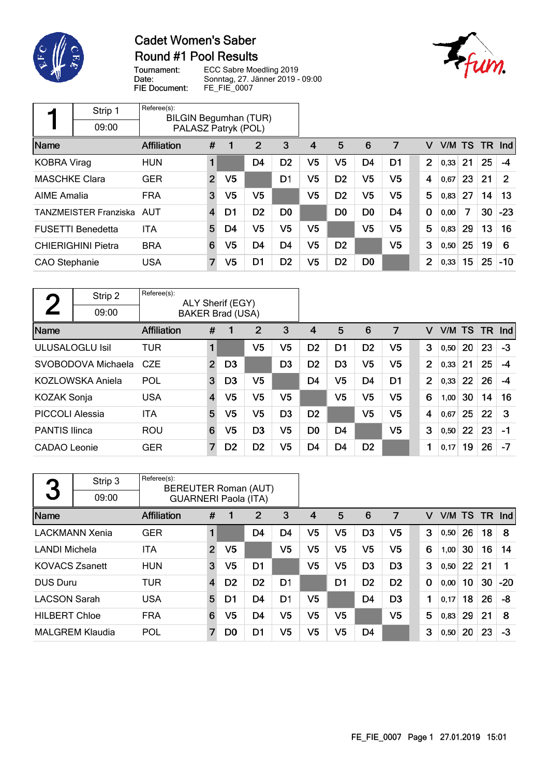

### **Cadet Women's Saber** Round #1 Pool Results



Tournament: Date: FIE Document:

|                      | Strip 1                      | Referee(s):<br><b>BILGIN Begumhan (TUR)</b> |                |                |                |                |                |                |                |                |             |        |    |           |       |
|----------------------|------------------------------|---------------------------------------------|----------------|----------------|----------------|----------------|----------------|----------------|----------------|----------------|-------------|--------|----|-----------|-------|
|                      | 09:00                        | PALASZ Patryk (POL)                         |                |                |                |                |                |                |                |                |             |        |    |           |       |
| Name                 |                              | <b>Affiliation</b>                          | #              |                | $\overline{2}$ | 3              | 4              | 5              | 6              | 7              | v           | V/M TS |    | <b>TR</b> | Ind   |
| <b>KOBRA Virag</b>   |                              | <b>HUN</b>                                  |                |                | D <sub>4</sub> | D <sub>2</sub> | V5             | V5             | D <sub>4</sub> | D1             | 2           | 0,33   | 21 | 25        | -4    |
| <b>MASCHKE Clara</b> |                              | <b>GER</b>                                  | $\overline{2}$ | V <sub>5</sub> |                | D1             | V5             | D <sub>2</sub> | V5             | V <sub>5</sub> | 4           | 0,67   | 23 | 21        | 2     |
| <b>AIME Amalia</b>   |                              | <b>FRA</b>                                  | 3              | V5             | V5             |                | V5             | D <sub>2</sub> | V5             | V5             | 5           | 0,83   | 27 | 14        | 13    |
|                      | <b>TANZMEISTER Franziska</b> | AUT                                         | 4              | D1             | D <sub>2</sub> | D <sub>0</sub> |                | D <sub>0</sub> | D <sub>0</sub> | D4             | $\mathbf 0$ | 0,00   | 7  | 30        | $-23$ |
|                      | <b>FUSETTI Benedetta</b>     | ITA                                         | 5              | D4             | V5             | V5             | V <sub>5</sub> |                | V5             | V <sub>5</sub> | 5           | 0,83   | 29 | 13        | 16    |
|                      | <b>CHIERIGHINI Pietra</b>    | <b>BRA</b>                                  | 6              | V5             | D <sub>4</sub> | D <sub>4</sub> | V5             | D <sub>2</sub> |                | V5             | 3           | 0,50   | 25 | 19        | 6     |
| CAO Stephanie        |                              | <b>USA</b>                                  | 7              | V5             | D1             | D <sub>2</sub> | V <sub>5</sub> | D <sub>2</sub> | D <sub>0</sub> |                | 2           | 0,33   | 15 | 25        | $-10$ |

|                        | Strip 2                 | Referee(s):        |                         | ALY Sherif (EGY)        |                |                |                |                |                |                |   |                |        |    |           |      |
|------------------------|-------------------------|--------------------|-------------------------|-------------------------|----------------|----------------|----------------|----------------|----------------|----------------|---|----------------|--------|----|-----------|------|
|                        | 09:00                   |                    |                         | <b>BAKER Brad (USA)</b> |                |                |                |                |                |                |   |                |        |    |           |      |
| Name                   |                         | <b>Affiliation</b> | #                       |                         | 2              | 3              | 4              | 5              | 6              | 7              |   | v              | V/M TS |    | <b>TR</b> | Ind  |
|                        | <b>ULUSALOGLU Isil</b>  | <b>TUR</b>         | 1                       |                         | V5             | V <sub>5</sub> | D <sub>2</sub> | D <sub>1</sub> | D <sub>2</sub> | V <sub>5</sub> |   | 3              | 0,50   | 20 | 23        | $-3$ |
|                        | SVOBODOVA Michaela      | <b>CZE</b>         | $\overline{2}$          | D <sub>3</sub>          |                | D <sub>3</sub> | D <sub>2</sub> | D <sub>3</sub> | V <sub>5</sub> | V <sub>5</sub> |   | $\overline{2}$ | 0,33   | 21 | 25        | $-4$ |
|                        | <b>KOZLOWSKA Aniela</b> | POL                | 3                       | D <sub>3</sub>          | V5             |                | D <sub>4</sub> | V5             | D <sub>4</sub> | D <sub>1</sub> |   | $\overline{2}$ | 0,33   | 22 | 26        | -4   |
| <b>KOZAK Sonja</b>     |                         | <b>USA</b>         | $\overline{\mathbf{4}}$ | V5                      | V <sub>5</sub> | V5             |                | V5             | V <sub>5</sub> | V <sub>5</sub> |   | 6              | 1,00   | 30 | 14        | 16   |
| <b>PICCOLI Alessia</b> |                         | <b>ITA</b>         | 5                       | V5                      | V5             | D <sub>3</sub> | D <sub>2</sub> |                | V <sub>5</sub> | V5             |   | 4              | 0.67   | 25 | 22        | 3    |
| <b>PANTIS Ilinca</b>   |                         | <b>ROU</b>         | 6                       | V5                      | D <sub>3</sub> | V5             | D <sub>0</sub> | D <sub>4</sub> |                | V5             |   | 3              | 0,50   | 22 | 23        | -1   |
| <b>CADAO</b> Leonie    |                         | <b>GER</b>         | 7                       | D <sub>2</sub>          | D <sub>2</sub> | V5             | D4             | D4             | D <sub>2</sub> |                | 1 |                | 0,17   | 19 | 26        | $-7$ |

| 3                     | Strip 3                | Referee(s):<br><b>BEREUTER Roman (AUT)</b> |                |                |                |                |    |                |                |                |   |        |    |     |            |
|-----------------------|------------------------|--------------------------------------------|----------------|----------------|----------------|----------------|----|----------------|----------------|----------------|---|--------|----|-----|------------|
|                       | 09:00                  | <b>GUARNERI Paola (ITA)</b>                |                |                |                |                |    |                |                |                |   |        |    |     |            |
| Name                  |                        | Affiliation                                | #              |                | 2              | 3              | 4  | 5              | 6              | 7              | v | V/M TS |    | TR. | <b>Ind</b> |
|                       | <b>LACKMANN Xenia</b>  | <b>GER</b>                                 |                |                | D <sub>4</sub> | D <sub>4</sub> | V5 | V5             | D <sub>3</sub> | V5             | 3 | 0,50   | 26 | 18  | 8          |
| <b>LANDI Michela</b>  |                        | <b>ITA</b>                                 | $\overline{2}$ | V <sub>5</sub> |                | V5             | V5 | V5             | V <sub>5</sub> | V5             | 6 | 1,00   | 30 | 16  | 14         |
| <b>KOVACS Zsanett</b> |                        | <b>HUN</b>                                 | 3              | V5             | D <sub>1</sub> |                | V5 | V5             | D <sub>3</sub> | D <sub>3</sub> | 3 | 0,50   | 22 | 21  |            |
| <b>DUS Duru</b>       |                        | TUR                                        | 4              | D <sub>2</sub> | D <sub>2</sub> | D1             |    | D <sub>1</sub> | D <sub>2</sub> | D <sub>2</sub> | 0 | 0,00   | 10 | 30  | $-20$      |
| <b>LACSON Sarah</b>   |                        | <b>USA</b>                                 | 5              | D1             | D <sub>4</sub> | D <sub>1</sub> | V5 |                | D <sub>4</sub> | D <sub>3</sub> | 1 | 0,17   | 18 | 26  | -8         |
| <b>HILBERT Chloe</b>  |                        | <b>FRA</b>                                 | 6              | V5             | D <sub>4</sub> | V5             | V5 | V5             |                | V5             | 5 | 0,83   | 29 | 21  | 8          |
|                       | <b>MALGREM Klaudia</b> | <b>POL</b>                                 | 7              | D <sub>0</sub> | D1             | V5             | V5 | V5             | D4             |                | 3 | 0,50   | 20 | 23  | $-3$       |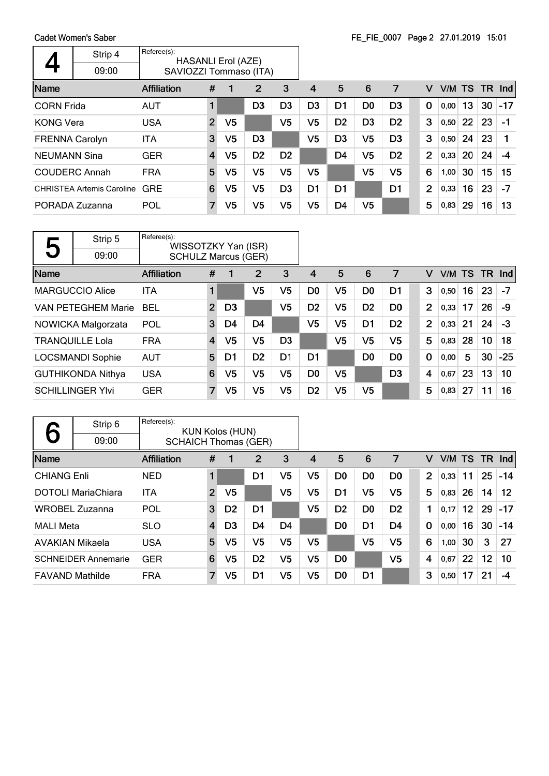|                       | Strip 4<br>09:00                 | Referee(s):<br><b>HASANLI Erol (AZE)</b><br>SAVIOZZI Tommaso (ITA) |                |                |                |                |                |                |                |                |                |      |    |           |            |
|-----------------------|----------------------------------|--------------------------------------------------------------------|----------------|----------------|----------------|----------------|----------------|----------------|----------------|----------------|----------------|------|----|-----------|------------|
| Name                  |                                  | Affiliation                                                        | #              |                | 2              | 3              | 4              | 5              | 6              | 7              | v              |      |    | V/M TS TR | <b>Ind</b> |
| <b>CORN Frida</b>     |                                  | <b>AUT</b>                                                         | 1              |                | D <sub>3</sub> | D <sub>3</sub> | D <sub>3</sub> | D <sub>1</sub> | D <sub>0</sub> | D <sub>3</sub> | 0              | 0,00 | 13 | 30        | $-17$      |
| <b>KONG Vera</b>      |                                  | <b>USA</b>                                                         | $\overline{2}$ | V5             |                | V5             | V <sub>5</sub> | D <sub>2</sub> | D <sub>3</sub> | D <sub>2</sub> | 3              | 0,50 | 22 | 23        | $-1$       |
| <b>FRENNA Carolyn</b> |                                  | <b>ITA</b>                                                         | 3              | V <sub>5</sub> | D <sub>3</sub> |                | V <sub>5</sub> | D <sub>3</sub> | V <sub>5</sub> | D <sub>3</sub> | 3              | 0,50 | 24 | 23        |            |
| <b>NEUMANN Sina</b>   |                                  | <b>GER</b>                                                         | $\overline{4}$ | V5             | D <sub>2</sub> | D <sub>2</sub> |                | D <sub>4</sub> | V <sub>5</sub> | D <sub>2</sub> | $\overline{2}$ | 0,33 | 20 | 24        | -4         |
|                       | <b>COUDERC Annah</b>             | <b>FRA</b>                                                         | 5              | V5             | V5             | V5             | V5             |                | V <sub>5</sub> | V5             | 6              | 1,00 | 30 | 15        | 15         |
|                       | <b>CHRISTEA Artemis Caroline</b> | <b>GRE</b>                                                         | 6              | V5             | V <sub>5</sub> | D <sub>3</sub> | D1             | D <sub>1</sub> |                | D1             | $\overline{2}$ | 0,33 | 16 | 23        | $-7$       |
|                       | PORADA Zuzanna                   | POL                                                                | 7              | V5             | V5             | V5             | V5             | D <sub>4</sub> | V <sub>5</sub> |                | 5              | 0,83 | 29 | 16        | 13         |

| Қ    | Strip 5                   | Referee(s):<br>WISSOTZKY Yan (ISR) |                |                |                |                |                |                |                |                |                |        |    |     |       |
|------|---------------------------|------------------------------------|----------------|----------------|----------------|----------------|----------------|----------------|----------------|----------------|----------------|--------|----|-----|-------|
| J    | 09:00                     | <b>SCHULZ Marcus (GER)</b>         |                |                |                |                |                |                |                |                |                |        |    |     |       |
| Name |                           | <b>Affiliation</b>                 | #              | 1              | 2              | 3              | 4              | 5              | 6              | 7              | v              | V/M TS |    | TR. | Ind   |
|      | <b>MARGUCCIO Alice</b>    | <b>ITA</b>                         | 1              |                | V5             | V5             | D <sub>0</sub> | V5             | D <sub>0</sub> | D1             | 3              | 0,50   | 16 | 23  | -7    |
|      | <b>VAN PETEGHEM Marie</b> | <b>BEL</b>                         | $\overline{2}$ | D <sub>3</sub> |                | V <sub>5</sub> | D <sub>2</sub> | V <sub>5</sub> | D <sub>2</sub> | D <sub>0</sub> | 2              | 0,33   | 17 | 26  | -9    |
|      | NOWICKA Malgorzata        | POL                                | 3              | D4             | D <sub>4</sub> |                | V <sub>5</sub> | V <sub>5</sub> | D <sub>1</sub> | D <sub>2</sub> | $\overline{2}$ | 0,33   | 21 | 24  | $-3$  |
|      | <b>TRANQUILLE Lola</b>    | <b>FRA</b>                         | $\overline{4}$ | V <sub>5</sub> | V <sub>5</sub> | D <sub>3</sub> |                | V <sub>5</sub> | V <sub>5</sub> | V <sub>5</sub> | 5              | 0,83   | 28 | 10  | 18    |
|      | <b>LOCSMANDI Sophie</b>   | <b>AUT</b>                         | 5              | D1             | D <sub>2</sub> | D <sub>1</sub> | D1             |                | D <sub>0</sub> | D <sub>0</sub> | $\mathbf 0$    | 0,00   | 5  | 30  | $-25$ |
|      | <b>GUTHIKONDA Nithya</b>  | <b>USA</b>                         | 6              | V <sub>5</sub> | V <sub>5</sub> | V5             | D <sub>0</sub> | V <sub>5</sub> |                | D <sub>3</sub> | 4              | 0,67   | 23 | 13  | 10    |
|      | <b>SCHILLINGER YIvi</b>   | <b>GER</b>                         | $\overline{7}$ | V5             | V5             | V5             | D <sub>2</sub> | V <sub>5</sub> | V <sub>5</sub> |                | 5              | 0,83   | 27 | 11  | 16    |

|                        | Strip 6                    | Referee(s):                 |                | <b>KUN Kolos (HUN)</b> |                |                |                |                |                |                |             |        |                 |           |       |
|------------------------|----------------------------|-----------------------------|----------------|------------------------|----------------|----------------|----------------|----------------|----------------|----------------|-------------|--------|-----------------|-----------|-------|
|                        | 09:00                      | <b>SCHAICH Thomas (GER)</b> |                |                        |                |                |                |                |                |                |             |        |                 |           |       |
| Name                   |                            | <b>Affiliation</b>          | #              |                        | 2              | 3              | $\overline{4}$ | 5              | 6              | 7              | v           | V/M TS |                 | <b>TR</b> | Ind   |
| <b>CHIANG Enli</b>     |                            | <b>NED</b>                  | 1              |                        | D1             | V5             | V5             | D <sub>0</sub> | D <sub>0</sub> | D <sub>0</sub> | 2           | 0,33   | 11              | 25        | $-14$ |
|                        | <b>DOTOLI MariaChiara</b>  | <b>ITA</b>                  | $\overline{2}$ | V <sub>5</sub>         |                | V5             | V <sub>5</sub> | D <sub>1</sub> | V <sub>5</sub> | V <sub>5</sub> | 5           | 0,83   | 26              | 14        | 12    |
|                        | <b>WROBEL Zuzanna</b>      | POL                         | 3              | D <sub>2</sub>         | D <sub>1</sub> |                | V <sub>5</sub> | D <sub>2</sub> | D <sub>0</sub> | D <sub>2</sub> | 1           | 0,17   | 12 <sub>2</sub> | 29        | $-17$ |
| <b>MALI Meta</b>       |                            | <b>SLO</b>                  | 4              | D3                     | D4             | D4             |                | D <sub>0</sub> | D1             | D4             | $\mathbf 0$ | 0,00   | 16              | 30        | $-14$ |
| <b>AVAKIAN Mikaela</b> |                            | <b>USA</b>                  | 5              | V <sub>5</sub>         | V <sub>5</sub> | V <sub>5</sub> | V <sub>5</sub> |                | V <sub>5</sub> | V <sub>5</sub> | 6           | 1,00   | 30              | 3         | 27    |
|                        | <b>SCHNEIDER Annemarie</b> | <b>GER</b>                  | 6              | V5                     | D <sub>2</sub> | V <sub>5</sub> | V <sub>5</sub> | D <sub>0</sub> |                | V <sub>5</sub> | 4           | 0,67   | 22              | 12        | 10    |
| <b>FAVAND Mathilde</b> |                            | <b>FRA</b>                  | $\overline{7}$ | V5                     | D1             | V5             | V5             | D <sub>0</sub> | D1             |                | 3           | 0,50   | 17              | 21        | -4    |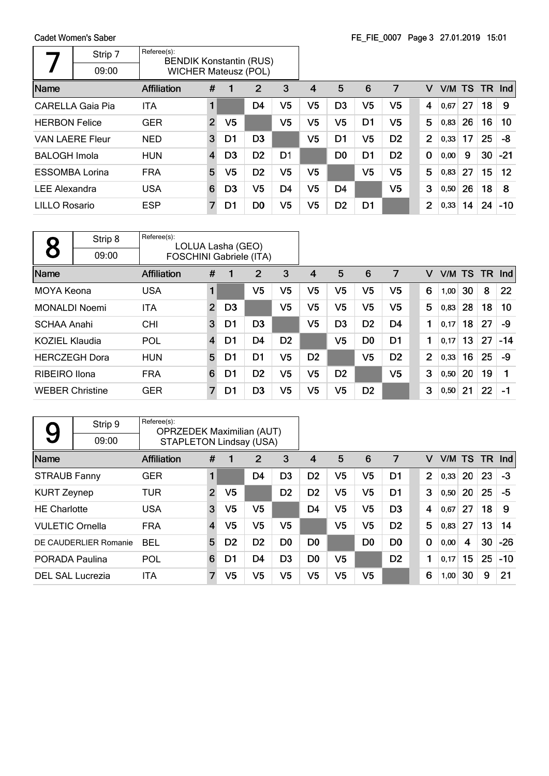|                        | Strip 7                 | Referee(s):<br><b>BENDIK Konstantin (RUS)</b> |                |                |                |                |                |                |                |                |                |        |    |      |            |
|------------------------|-------------------------|-----------------------------------------------|----------------|----------------|----------------|----------------|----------------|----------------|----------------|----------------|----------------|--------|----|------|------------|
|                        | 09:00                   | <b>WICHER Mateusz (POL)</b>                   |                |                |                |                |                |                |                |                |                |        |    |      |            |
| Name                   |                         | <b>Affiliation</b>                            | #              |                | 2              | 3              | 4              | 5              | 6              | 7              | v              | V/M TS |    | TR . | <b>Ind</b> |
|                        | <b>CARELLA Gaia Pia</b> | ITA                                           |                |                | D4             | V5             | V <sub>5</sub> | D <sub>3</sub> | V <sub>5</sub> | V <sub>5</sub> | 4              | 0,67   | 27 | 18   | 9          |
| <b>HERBON Felice</b>   |                         | <b>GER</b>                                    | $\overline{2}$ | V <sub>5</sub> |                | V5             | V5             | V5             | D <sub>1</sub> | V <sub>5</sub> | 5              | 0,83   | 26 | 16   | 10         |
| <b>VAN LAERE Fleur</b> |                         | <b>NED</b>                                    | 3              | D1             | D <sub>3</sub> |                | V <sub>5</sub> | D <sub>1</sub> | V <sub>5</sub> | D <sub>2</sub> | $\overline{2}$ | 0,33   | 17 | 25   | -8         |
| <b>BALOGH Imola</b>    |                         | <b>HUN</b>                                    | 4              | D <sub>3</sub> | D <sub>2</sub> | D <sub>1</sub> |                | D <sub>0</sub> | D <sub>1</sub> | D <sub>2</sub> | $\mathbf 0$    | 0,00   | 9  | 30   | $-21$      |
| <b>ESSOMBA Lorina</b>  |                         | <b>FRA</b>                                    | 5              | V <sub>5</sub> | D <sub>2</sub> | V5             | V5             |                | V <sub>5</sub> | V <sub>5</sub> | 5              | 0.83   | 27 | 15   | 12         |
| <b>LEE Alexandra</b>   |                         | <b>USA</b>                                    | 6              | D <sub>3</sub> | V5             | D <sub>4</sub> | V <sub>5</sub> | D <sub>4</sub> |                | V <sub>5</sub> | 3              | 0,50   | 26 | 18   | 8          |
| <b>LILLO Rosario</b>   |                         | <b>ESP</b>                                    | 7              | D1             | D <sub>0</sub> | V5             | V <sub>5</sub> | D <sub>2</sub> | D1             |                | 2              | 0,33   | 14 | 24   | $-10$      |

|                        | Strip 8 | Referee(s):<br>LOLUA Lasha (GEO) |                |                |                |                |                |                |                |                |                |      |                 |      |            |
|------------------------|---------|----------------------------------|----------------|----------------|----------------|----------------|----------------|----------------|----------------|----------------|----------------|------|-----------------|------|------------|
|                        | 09:00   | <b>FOSCHINI Gabriele (ITA)</b>   |                |                |                |                |                |                |                |                |                |      |                 |      |            |
| Name                   |         | <b>Affiliation</b>               | #              |                | 2              | 3              | 4              | 5              | 6              | 7              | V              | V/M  | <b>TS</b>       | TR . | <b>Ind</b> |
| MOYA Keona             |         | <b>USA</b>                       | $\blacksquare$ |                | V <sub>5</sub> | V <sub>5</sub> | V <sub>5</sub> | V <sub>5</sub> | V <sub>5</sub> | V <sub>5</sub> | 6              | 1,00 | 30              | 8    | 22         |
| <b>MONALDI Noemi</b>   |         | <b>ITA</b>                       | $\overline{2}$ | D <sub>3</sub> |                | V <sub>5</sub> | V <sub>5</sub> | V <sub>5</sub> | V <sub>5</sub> | V <sub>5</sub> | 5              | 0,83 | 28              | 18   | 10         |
| <b>SCHAA Anahi</b>     |         | <b>CHI</b>                       | 3              | D1             | D <sub>3</sub> |                | V <sub>5</sub> | D <sub>3</sub> | D <sub>2</sub> | D <sub>4</sub> | 1              | 0,17 | 18              | 27   | -9         |
| KOZIEL Klaudia         |         | POL                              | 4              | D1             | D4             | D <sub>2</sub> |                | V <sub>5</sub> | D <sub>0</sub> | D1             | 1              | 0,17 | 13 <sup>°</sup> | 27   | $-14$      |
| <b>HERCZEGH Dora</b>   |         | <b>HUN</b>                       | 5              | D1             | D <sub>1</sub> | V <sub>5</sub> | D <sub>2</sub> |                | V <sub>5</sub> | D <sub>2</sub> | $\overline{2}$ | 0,33 | 16              | 25   | -9         |
| <b>RIBEIRO</b> Ilona   |         | <b>FRA</b>                       | 6              | D1             | D <sub>2</sub> | V <sub>5</sub> | V <sub>5</sub> | D <sub>2</sub> |                | V <sub>5</sub> | 3              | 0,50 | 20              | 19   |            |
| <b>WEBER Christine</b> |         | <b>GER</b>                       | 7              | D1             | D <sub>3</sub> | V5             | V <sub>5</sub> | V <sub>5</sub> | D <sub>2</sub> |                | 3              | 0,50 | 21              | 22   | $-1$       |

| 9                      | Strip 9                 | Referee(s):<br><b>OPRZEDEK Maximilian (AUT)</b> |                |                |                |                |                |                |                |                |                |        |    |           |       |
|------------------------|-------------------------|-------------------------------------------------|----------------|----------------|----------------|----------------|----------------|----------------|----------------|----------------|----------------|--------|----|-----------|-------|
|                        | 09:00                   | <b>STAPLETON Lindsay (USA)</b>                  |                |                |                |                |                |                |                |                |                |        |    |           |       |
| Name                   |                         | <b>Affiliation</b>                              | #              | 1              | 2              | 3              | 4              | 5              | 6              | 7              | v              | V/M TS |    | <b>TR</b> | Ind   |
| <b>STRAUB Fanny</b>    |                         | <b>GER</b>                                      | 1              |                | D4             | D <sub>3</sub> | D <sub>2</sub> | V <sub>5</sub> | V <sub>5</sub> | D1             | $\overline{2}$ | 0,33   | 20 | 23        | $-3$  |
| <b>KURT Zeynep</b>     |                         | TUR                                             | $\overline{2}$ | V <sub>5</sub> |                | D <sub>2</sub> | D <sub>2</sub> | V5             | V5             | D1             | 3              | 0,50   | 20 | 25        | -5    |
| <b>HE Charlotte</b>    |                         | <b>USA</b>                                      | 3              | V <sub>5</sub> | V <sub>5</sub> |                | D4             | V5             | V5             | D <sub>3</sub> | 4              | 0,67   | 27 | 18        | 9     |
| <b>VULETIC Ornella</b> |                         | <b>FRA</b>                                      | $\overline{4}$ | V <sub>5</sub> | V <sub>5</sub> | V5             |                | V <sub>5</sub> | V <sub>5</sub> | D <sub>2</sub> | 5              | 0,83   | 27 | 13        | 14    |
|                        | DE CAUDERLIER Romanie   | <b>BEL</b>                                      | 5              | D <sub>2</sub> | D <sub>2</sub> | D0             | D0             |                | D <sub>0</sub> | D <sub>0</sub> | $\mathbf 0$    | 0,00   | 4  | 30        | $-26$ |
| <b>PORADA Paulina</b>  |                         | POL                                             | 6              | D1             | D4             | D <sub>3</sub> | D <sub>0</sub> | V5             |                | D <sub>2</sub> | 1              | 0,17   | 15 | 25        | $-10$ |
|                        | <b>DEL SAL Lucrezia</b> | ITA                                             | 7              | V <sub>5</sub> | V5             | V5             | V <sub>5</sub> | V5             | V5             |                | 6              | 1,00   | 30 | 9         | 21    |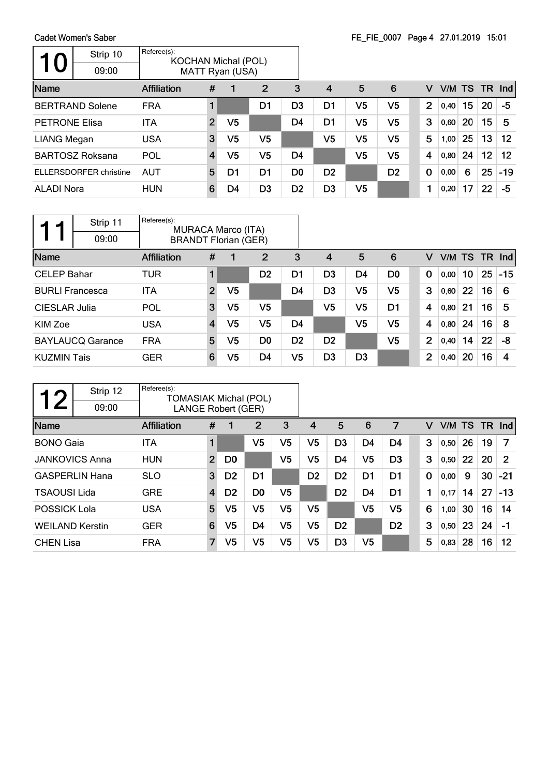Cadet Women's Saber  $\overline{\phantom{a}}$ 

 $\mathsf{r}$ 

|                      | Gaget Monien's Saper          |                                           |                |                 |                |                |                |                |                |                |        |    |    |                   |
|----------------------|-------------------------------|-------------------------------------------|----------------|-----------------|----------------|----------------|----------------|----------------|----------------|----------------|--------|----|----|-------------------|
| 10                   | Strip 10                      | Referee(s):<br><b>KOCHAN Michal (POL)</b> |                |                 |                |                |                |                |                |                |        |    |    |                   |
|                      | 09:00                         |                                           |                | MATT Ryan (USA) |                |                |                |                |                |                |        |    |    |                   |
| Name                 |                               | <b>Affiliation</b>                        | #              |                 | $\overline{2}$ | 3              | $\overline{4}$ | 5              | 6              | v              | V/M TS |    |    | $TR$ Ind          |
|                      | <b>BERTRAND Solene</b>        | <b>FRA</b>                                |                |                 | D1             | D <sub>3</sub> | D1             | V5             | V <sub>5</sub> | $\overline{2}$ | 0,40   | 15 | 20 | -5                |
| <b>PETRONE Elisa</b> |                               | <b>ITA</b>                                | $\overline{2}$ | V <sub>5</sub>  |                | D <sub>4</sub> | D <sub>1</sub> | V5             | V <sub>5</sub> | 3              | 0,60   | 20 | 15 | 5                 |
| LIANG Megan          |                               | <b>USA</b>                                | 3              | V5              | V <sub>5</sub> |                | V <sub>5</sub> | V <sub>5</sub> | V <sub>5</sub> | 5              | 1,00   | 25 | 13 | $12 \overline{ }$ |
|                      | <b>BARTOSZ Roksana</b>        | POL                                       | 4              | V5              | V <sub>5</sub> | D <sub>4</sub> |                | V <sub>5</sub> | V <sub>5</sub> | 4              | 0,80   | 24 | 12 | $12 \overline{ }$ |
|                      | <b>ELLERSDORFER christine</b> | <b>AUT</b>                                | 5              | D1              | D <sub>1</sub> | D <sub>0</sub> | D <sub>2</sub> |                | D <sub>2</sub> | 0              | 0,00   | 6  | 25 | $-19$             |
| <b>ALADI Nora</b>    |                               | <b>HUN</b>                                | 6              | D4              | D <sub>3</sub> | D <sub>2</sub> | D <sub>3</sub> | V <sub>5</sub> |                |                | 0,20   | 17 | 22 | -5                |
|                      |                               |                                           |                |                 |                |                |                |                |                |                |        |    |    |                   |

|                        | Strip 11<br>09:00       | Referee(s):<br><b>MURACA Marco (ITA)</b><br><b>BRANDT Florian (GER)</b> |                |                |                |                |                |                |                |                |        |    |    |        |
|------------------------|-------------------------|-------------------------------------------------------------------------|----------------|----------------|----------------|----------------|----------------|----------------|----------------|----------------|--------|----|----|--------|
| Name                   |                         | <b>Affiliation</b>                                                      | #              |                | $\overline{2}$ | 3              | 4              | 5              | 6              | v              | V/M TS |    |    | TR Ind |
| <b>CELEP Bahar</b>     |                         | TUR                                                                     | 1              |                | D <sub>2</sub> | D1             | D <sub>3</sub> | D4             | D <sub>0</sub> | $\bf{0}$       | 0,00   | 10 | 25 | $-15$  |
| <b>BURLI Francesca</b> |                         | <b>ITA</b>                                                              | $\overline{2}$ | V5             |                | D <sub>4</sub> | D <sub>3</sub> | V <sub>5</sub> | V <sub>5</sub> | 3              | 0,60   | 22 | 16 | -6     |
| CIESLAR Julia          |                         | POL                                                                     | 3              | V <sub>5</sub> | V <sub>5</sub> |                | V5             | V <sub>5</sub> | D <sub>1</sub> | 4              | 0,80   | 21 | 16 | 5      |
| KIM Zoe                |                         | <b>USA</b>                                                              | $\overline{4}$ | V5             | V5             | D4             |                | V5             | V <sub>5</sub> | 4              | 0,80   | 24 | 16 | 8      |
|                        | <b>BAYLAUCQ Garance</b> | <b>FRA</b>                                                              | 5              | V5             | D <sub>0</sub> | D <sub>2</sub> | D <sub>2</sub> |                | V <sub>5</sub> | $\overline{2}$ | 0,40   | 14 | 22 | -8     |
| <b>KUZMIN Tais</b>     |                         | <b>GER</b>                                                              | 6              | V5             | D4             | V <sub>5</sub> | D <sub>3</sub> | D <sub>3</sub> |                | $\overline{2}$ | 0,40   | 20 | 16 | 4      |

|                        | Strip 12              | Referee(s):<br><b>TOMASIAK Michal (POL)</b> |                |                |                |                |                |                |                |                |             |      |     |      |            |
|------------------------|-----------------------|---------------------------------------------|----------------|----------------|----------------|----------------|----------------|----------------|----------------|----------------|-------------|------|-----|------|------------|
|                        | 09:00                 | <b>LANGE Robert (GER)</b>                   |                |                |                |                |                |                |                |                |             |      |     |      |            |
| Name                   |                       | <b>Affiliation</b>                          | #              |                | $\overline{2}$ | 3              | 4              | 5              | 6              | 7              | v           | V/M  | TS. | - TR | <b>Ind</b> |
| <b>BONO</b> Gaia       |                       | ITA                                         | $\blacksquare$ |                | V <sub>5</sub> | V <sub>5</sub> | V <sub>5</sub> | D <sub>3</sub> | D4             | D4             | 3           | 0,50 | 26  | 19   | 7          |
|                        | <b>JANKOVICS Anna</b> | <b>HUN</b>                                  | $\overline{2}$ | D <sub>0</sub> |                | V <sub>5</sub> | V <sub>5</sub> | D <sub>4</sub> | V <sub>5</sub> | D <sub>3</sub> | 3           | 0,50 | 22  | 20   | 2          |
|                        | <b>GASPERLIN Hana</b> | <b>SLO</b>                                  | 3              | D <sub>2</sub> | D <sub>1</sub> |                | D <sub>2</sub> | D <sub>2</sub> | D <sub>1</sub> | D <sub>1</sub> | $\mathbf 0$ | 0,00 | 9   | 30   | $-21$      |
| <b>TSAOUSI Lida</b>    |                       | <b>GRE</b>                                  | $\overline{4}$ | D <sub>2</sub> | D <sub>0</sub> | V5             |                | D <sub>2</sub> | D4             | D <sub>1</sub> | 1           | 0.17 | 14  | 27   | $-13$      |
| POSSICK Lola           |                       | <b>USA</b>                                  | 5              | V5             | V <sub>5</sub> | V <sub>5</sub> | V5             |                | V <sub>5</sub> | V5             | 6           | 1,00 | 30  | 16   | 14         |
| <b>WEILAND Kerstin</b> |                       | <b>GER</b>                                  | 6              | V <sub>5</sub> | D <sub>4</sub> | V <sub>5</sub> | V <sub>5</sub> | D <sub>2</sub> |                | D <sub>2</sub> | 3           | 0,50 | 23  | 24   | $-1$       |
| <b>CHEN Lisa</b>       |                       | <b>FRA</b>                                  | 7              | V <sub>5</sub> | V <sub>5</sub> | V5             | V <sub>5</sub> | D <sub>3</sub> | V <sub>5</sub> |                | 5           | 0,83 | 28  | 16   | 12         |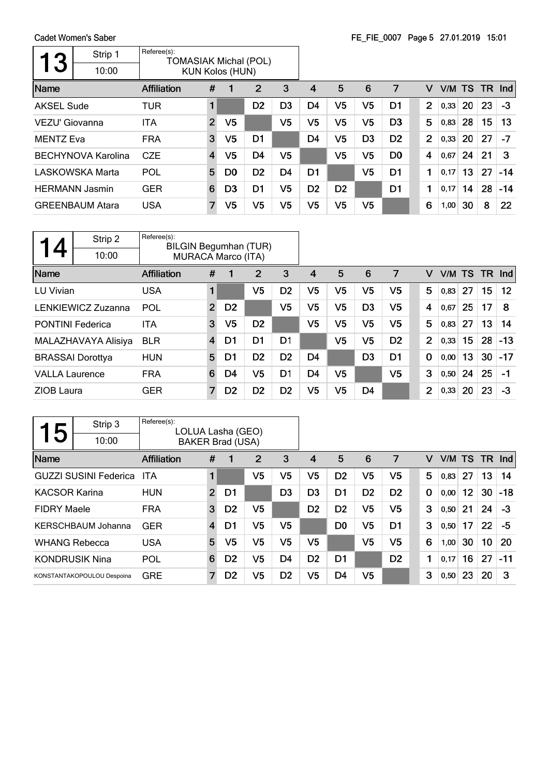| 3                 | Strip 1                   | Referee(s):<br><b>TOMASIAK Michal (POL)</b> |                |                        |                |                |                |                |                |                |                |      |           |     |            |
|-------------------|---------------------------|---------------------------------------------|----------------|------------------------|----------------|----------------|----------------|----------------|----------------|----------------|----------------|------|-----------|-----|------------|
|                   | 10:00                     |                                             |                | <b>KUN Kolos (HUN)</b> |                |                |                |                |                |                |                |      |           |     |            |
| Name              |                           | <b>Affiliation</b>                          | #              | 1                      | 2              | 3              | 4              | 5              | 6              | 7              | v              | V/M  | <b>TS</b> | TR. | <b>Ind</b> |
| <b>AKSEL Sude</b> |                           | <b>TUR</b>                                  |                |                        | D <sub>2</sub> | D <sub>3</sub> | D4             | V <sub>5</sub> | V <sub>5</sub> | D1             | $\overline{2}$ | 0,33 | 20        | 23  | $-3$       |
| VEZU' Giovanna    |                           | <b>ITA</b>                                  | $\overline{2}$ | V <sub>5</sub>         |                | V <sub>5</sub> | V <sub>5</sub> | V5             | V5             | D <sub>3</sub> | 5              | 0,83 | 28        | 15  | 13         |
| <b>MENTZ Eva</b>  |                           | <b>FRA</b>                                  | 3              | V <sub>5</sub>         | D <sub>1</sub> |                | D4             | V5             | D <sub>3</sub> | D <sub>2</sub> | $\overline{2}$ | 0,33 | 20        | 27  | -7         |
|                   | <b>BECHYNOVA Karolina</b> | <b>CZE</b>                                  | $\overline{4}$ | V <sub>5</sub>         | D <sub>4</sub> | V5             |                | V5             | V <sub>5</sub> | D <sub>0</sub> | 4              | 0,67 | 24        | 21  | 3          |
|                   | <b>LASKOWSKA Marta</b>    | POL                                         | 5              | D <sub>0</sub>         | D <sub>2</sub> | D <sub>4</sub> | D1             |                | V <sub>5</sub> | D1             | 1              | 0,17 | 13        | 27  | $-14$      |
|                   | <b>HERMANN Jasmin</b>     | <b>GER</b>                                  | 6              | D <sub>3</sub>         | D <sub>1</sub> | V5             | D <sub>2</sub> | D <sub>2</sub> |                | D1             | 1              | 0,17 | 14        | 28  | $-14$      |
|                   | <b>GREENBAUM Atara</b>    | <b>USA</b>                                  |                | V <sub>5</sub>         | V <sub>5</sub> | V5             | V5             | V5             | V5             |                | 6              | 1,00 | 30        | 8   | 22         |

| 4                     | Strip 2                 | Referee(s):<br><b>BILGIN Begumhan (TUR)</b> |                         |                |                |                |                |                |                |                |                |        |    |           |         |
|-----------------------|-------------------------|---------------------------------------------|-------------------------|----------------|----------------|----------------|----------------|----------------|----------------|----------------|----------------|--------|----|-----------|---------|
|                       | 10:00                   | <b>MURACA Marco (ITA)</b>                   |                         |                |                |                |                |                |                |                |                |        |    |           |         |
| Name                  |                         | <b>Affiliation</b>                          | #                       | 1              | $\overline{2}$ | 3              | 4              | 5              | 6              | 7              | v              | V/M TS |    | <b>TR</b> | Ind     |
| LU Vivian             |                         | <b>USA</b>                                  | 1                       |                | V5             | D <sub>2</sub> | V5             | V <sub>5</sub> | V <sub>5</sub> | V5             | 5              | 0,83   | 27 | 15        | $12 \,$ |
|                       | LENKIEWICZ Zuzanna      | POL                                         | $\overline{2}$          | D <sub>2</sub> |                | V5             | V5             | V5             | D <sub>3</sub> | V5             | 4              | 0,67   | 25 | 17        | 8       |
|                       | <b>PONTINI Federica</b> | <b>ITA</b>                                  | 3                       | V <sub>5</sub> | D <sub>2</sub> |                | V5             | V5             | V <sub>5</sub> | V5             | 5              | 0,83   | 27 | 13        | 14      |
|                       | MALAZHAVAYA Alisiya     | <b>BLR</b>                                  | $\overline{\mathbf{4}}$ | D1             | D <sub>1</sub> | D <sub>1</sub> |                | V <sub>5</sub> | V <sub>5</sub> | D <sub>2</sub> | $\overline{2}$ | 0,33   | 15 | 28        | $-13$   |
|                       | <b>BRASSAI Dorottya</b> | <b>HUN</b>                                  | 5                       | D1             | D <sub>2</sub> | D <sub>2</sub> | D <sub>4</sub> |                | D <sub>3</sub> | D <sub>1</sub> | $\mathbf 0$    | 0,00   | 13 | 30        | $-17$   |
| <b>VALLA Laurence</b> |                         | <b>FRA</b>                                  | 6                       | D4             | V5             | D <sub>1</sub> | D4             | V5             |                | V5             | 3              | 0,50   | 24 | 25        | $-1$    |
| ZIOB Laura            |                         | <b>GER</b>                                  | $\overline{7}$          | D <sub>2</sub> | D <sub>2</sub> | D <sub>2</sub> | V <sub>5</sub> | V5             | D4             |                | $\overline{2}$ | 0,33   | 20 | 23        | -3      |

| 5                    | Strip 3                      | Referee(s):<br>LOLUA Lasha (GEO) |                |                         |                |                |                |                |                |                |             |      |        |     |       |
|----------------------|------------------------------|----------------------------------|----------------|-------------------------|----------------|----------------|----------------|----------------|----------------|----------------|-------------|------|--------|-----|-------|
|                      | 10:00                        |                                  |                | <b>BAKER Brad (USA)</b> |                |                |                |                |                |                |             |      |        |     |       |
| Name                 |                              | <b>Affiliation</b>               | #              | 1                       | 2              | 3              | 4              | 5              | 6              | 7              | v           |      | V/M TS | TR. | Ind   |
|                      | <b>GUZZI SUSINI Federica</b> | ITA                              | 1              |                         | V5             | V5             | V5             | D <sub>2</sub> | V5             | V5             | 5           | 0,83 | 27     | 13  | 14    |
| <b>KACSOR Karina</b> |                              | <b>HUN</b>                       | $\overline{2}$ | D1                      |                | D <sub>3</sub> | D3             | D <sub>1</sub> | D <sub>2</sub> | D <sub>2</sub> | $\mathbf 0$ | 0,00 | 12     | 30  | $-18$ |
| <b>FIDRY Maele</b>   |                              | <b>FRA</b>                       | 3              | D <sub>2</sub>          | V <sub>5</sub> |                | D <sub>2</sub> | D <sub>2</sub> | V <sub>5</sub> | V <sub>5</sub> | 3           | 0,50 | 21     | 24  | -3    |
|                      | <b>KERSCHBAUM Johanna</b>    | <b>GER</b>                       | 4              | D1                      | V <sub>5</sub> | V5             |                | D0             | V <sub>5</sub> | D1             | 3           | 0,50 | 17     | 22  | -5    |
| <b>WHANG Rebecca</b> |                              | <b>USA</b>                       | 5              | V5                      | V <sub>5</sub> | V <sub>5</sub> | V <sub>5</sub> |                | V <sub>5</sub> | V <sub>5</sub> | 6           | 1,00 | 30     | 10  | 20    |
|                      | <b>KONDRUSIK Nina</b>        | POL                              | 6              | D <sub>2</sub>          | V <sub>5</sub> | D <sub>4</sub> | D <sub>2</sub> | D <sub>1</sub> |                | D <sub>2</sub> | 1           | 0.17 | 16     | 27  | $-11$ |
|                      | KONSTANTAKOPOULOU Despoina   | <b>GRE</b>                       | 7              | D <sub>2</sub>          | V5             | D <sub>2</sub> | V5             | D <sub>4</sub> | V <sub>5</sub> |                | 3           | 0,50 | 23     | 20  | 3     |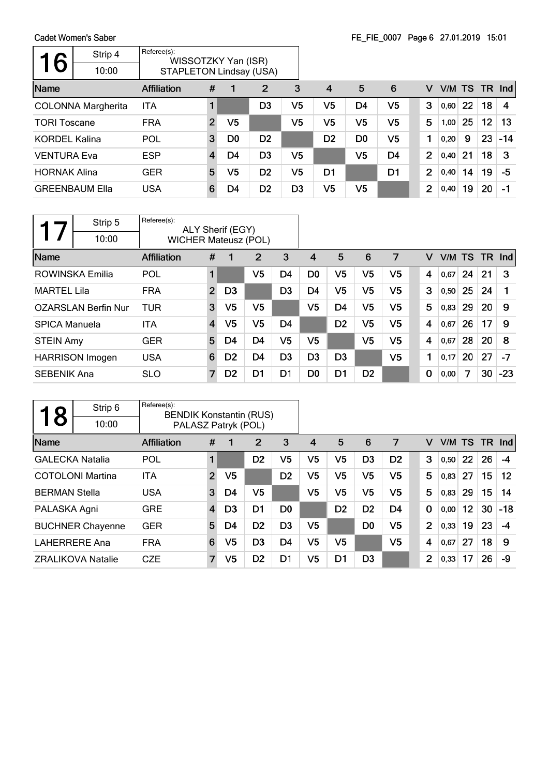$\Gamma$ 

| 6                    | Strip 4<br>10:00          | Referee(s):<br>WISSOTZKY Yan (ISR)<br><b>STAPLETON Lindsay (USA)</b> |                |                |                |                |                |                |                |                |      |        |           |       |
|----------------------|---------------------------|----------------------------------------------------------------------|----------------|----------------|----------------|----------------|----------------|----------------|----------------|----------------|------|--------|-----------|-------|
| Name                 |                           | Affiliation                                                          | #              |                | $\overline{2}$ | 3              | $\overline{4}$ | 5              | 6              | v              |      | V/M TS | <b>TR</b> | Ind   |
|                      | <b>COLONNA Margherita</b> | ITA                                                                  |                |                | D <sub>3</sub> | V5             | V5             | D <sub>4</sub> | V5             | 3              | 0,60 | 22     | 18        | 4     |
| <b>TORI Toscane</b>  |                           | <b>FRA</b>                                                           | $\overline{2}$ | V5             |                | V5             | V5             | V5             | V5             | 5              | 1,00 | 25     | 12        | 13    |
| <b>KORDEL Kalina</b> |                           | POL                                                                  | 3              | D <sub>0</sub> | D <sub>2</sub> |                | D <sub>2</sub> | D <sub>0</sub> | V5             | 1              | 0,20 | 9      | 23        | $-14$ |
| <b>VENTURA Eva</b>   |                           | <b>ESP</b>                                                           | $\overline{4}$ | D4             | D <sub>3</sub> | V5             |                | V <sub>5</sub> | D <sub>4</sub> | $\overline{2}$ | 0,40 | 21     | 18        | 3     |
| <b>HORNAK Alina</b>  |                           | <b>GER</b>                                                           | 5              | V5             | D <sub>2</sub> | V5             | D <sub>1</sub> |                | D <sub>1</sub> | 2              | 0,40 | 14     | 19        | $-5$  |
|                      | <b>GREENBAUM Ella</b>     | <b>USA</b>                                                           | 6              | D4             | D <sub>2</sub> | D <sub>3</sub> | V <sub>5</sub> | V <sub>5</sub> |                | $\overline{2}$ | 0,40 | 19     | 20        | $-1$  |

|                      | Strip 5                    | Referee(s):                 |                | ALY Sherif (EGY) |                |                |                |                |                |                |   |        |    |      |       |
|----------------------|----------------------------|-----------------------------|----------------|------------------|----------------|----------------|----------------|----------------|----------------|----------------|---|--------|----|------|-------|
|                      | 10:00                      | <b>WICHER Mateusz (POL)</b> |                |                  |                |                |                |                |                |                |   |        |    |      |       |
| Name                 |                            | <b>Affiliation</b>          | #              | 1                | 2              | 3              | 4              | 5              | 6              | 7              | v | V/M TS |    | TR . | Ind   |
|                      | ROWINSKA Emilia            | POL                         | 1              |                  | V5             | D4             | D <sub>0</sub> | V5             | V <sub>5</sub> | V <sub>5</sub> | 4 | 0,67   | 24 | 21   | 3     |
| <b>MARTEL Lila</b>   |                            | <b>FRA</b>                  | $\overline{2}$ | D <sub>3</sub>   |                | D <sub>3</sub> | D4             | V5             | V5             | V5             | 3 | 0,50   | 25 | 24   |       |
|                      | <b>OZARSLAN Berfin Nur</b> | <b>TUR</b>                  | 3              | V <sub>5</sub>   | V5             |                | V <sub>5</sub> | D <sub>4</sub> | V <sub>5</sub> | V5             | 5 | 0,83   | 29 | 20   | 9     |
| <b>SPICA Manuela</b> |                            | ITA                         | 4              | V <sub>5</sub>   | V <sub>5</sub> | D <sub>4</sub> |                | D <sub>2</sub> | V5             | V5             | 4 | 0,67   | 26 | 17   | 9     |
| <b>STEIN Amy</b>     |                            | <b>GER</b>                  | 5              | D4               | D <sub>4</sub> | V <sub>5</sub> | V5             |                | V5             | V <sub>5</sub> | 4 | 0,67   | 28 | 20   | 8     |
|                      | <b>HARRISON Imogen</b>     | <b>USA</b>                  | 6              | D <sub>2</sub>   | D <sub>4</sub> | D <sub>3</sub> | D <sub>3</sub> | D <sub>3</sub> |                | V5             | 1 | 0,17   | 20 | 27   | $-7$  |
| <b>SEBENIK Ana</b>   |                            | <b>SLO</b>                  | 7              | D <sub>2</sub>   | D <sub>1</sub> | D1             | D <sub>0</sub> | D <sub>1</sub> | D <sub>2</sub> |                | 0 | 0,00   | 7  | 30   | $-23$ |

| 8                      | Strip 6                  | Referee(s):<br><b>BENDIK Konstantin (RUS)</b> |                |                |                |                |                |                |                |                |                |        |    |           |            |
|------------------------|--------------------------|-----------------------------------------------|----------------|----------------|----------------|----------------|----------------|----------------|----------------|----------------|----------------|--------|----|-----------|------------|
|                        | 10:00                    | PALASZ Patryk (POL)                           |                |                |                |                |                |                |                |                |                |        |    |           |            |
| Name                   |                          | <b>Affiliation</b>                            | #              |                | 2              | 3              | 4              | 5              | 6              | 7              | v              | V/M TS |    | <b>TR</b> | <b>Ind</b> |
| <b>GALECKA Natalia</b> |                          | POL                                           | 1              |                | D <sub>2</sub> | V5             | V <sub>5</sub> | V <sub>5</sub> | D <sub>3</sub> | D <sub>2</sub> | 3              | 0,50   | 22 | 26        | -4         |
|                        | <b>COTOLONI Martina</b>  | <b>ITA</b>                                    | $\overline{2}$ | V <sub>5</sub> |                | D <sub>2</sub> | V5             | V <sub>5</sub> | V <sub>5</sub> | V <sub>5</sub> | 5              | 0.83   | 27 | 15        | 12         |
| <b>BERMAN Stella</b>   |                          | <b>USA</b>                                    | 3              | D4             | V <sub>5</sub> |                | V5             | V5             | V <sub>5</sub> | V5             | 5              | 0,83   | 29 | 15        | 14         |
| PALASKA Agni           |                          | <b>GRE</b>                                    | $\overline{4}$ | D <sub>3</sub> | D1             | D <sub>0</sub> |                | D <sub>2</sub> | D <sub>2</sub> | D <sub>4</sub> | $\mathbf 0$    | 0,00   | 12 | 30        | $-18$      |
|                        | <b>BUCHNER Chayenne</b>  | <b>GER</b>                                    | 5              | D4             | D <sub>2</sub> | D <sub>3</sub> | V5             |                | D <sub>0</sub> | V <sub>5</sub> | $\overline{2}$ | 0.33   | 19 | 23        | -4         |
| <b>LAHERRERE Ana</b>   |                          | <b>FRA</b>                                    | 6              | V5             | D <sub>3</sub> | D <sub>4</sub> | V <sub>5</sub> | V5             |                | V5             | 4              | 0,67   | 27 | 18        | 9          |
|                        | <b>ZRALIKOVA Natalie</b> | <b>CZE</b>                                    | 7              | V5             | D <sub>2</sub> | D1             | V5             | D <sub>1</sub> | D <sub>3</sub> |                | $\overline{2}$ | 0,33   | 17 | 26        | -9         |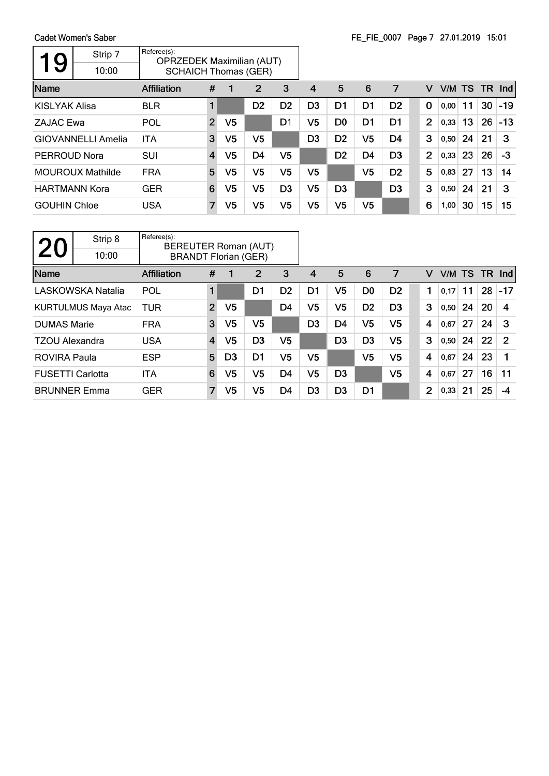$\Gamma$ 

| 9                    | Strip 7<br>10:00          | Referee(s):<br><b>OPRZEDEK Maximilian (AUT)</b><br><b>SCHAICH Thomas (GER)</b> |                         |    |                |                |                |                |                |                |                |        |    |           |       |
|----------------------|---------------------------|--------------------------------------------------------------------------------|-------------------------|----|----------------|----------------|----------------|----------------|----------------|----------------|----------------|--------|----|-----------|-------|
| Name                 |                           | <b>Affiliation</b>                                                             | #                       |    | 2              | 3              | 4              | 5              | 6              | 7              | v              | V/M TS |    | <b>TR</b> | Ind   |
| <b>KISLYAK Alisa</b> |                           | <b>BLR</b>                                                                     | 1                       |    | D <sub>2</sub> | D <sub>2</sub> | D <sub>3</sub> | D <sub>1</sub> | D <sub>1</sub> | D <sub>2</sub> | 0              | 0,00   | 11 | 30        | $-19$ |
| <b>ZAJAC Ewa</b>     |                           | POL                                                                            | $\overline{2}$          | V5 |                | D1             | V5             | D <sub>0</sub> | D1             | D <sub>1</sub> | $\overline{2}$ | 0,33   | 13 | 26        | $-13$ |
|                      | <b>GIOVANNELLI Amelia</b> | <b>ITA</b>                                                                     | 3                       | V5 | V5             |                | D <sub>3</sub> | D <sub>2</sub> | V <sub>5</sub> | D4             | 3              | 0,50   | 24 | 21        | 3     |
| PERROUD Nora         |                           | <b>SUI</b>                                                                     | $\overline{\mathbf{4}}$ | V5 | D <sub>4</sub> | V5             |                | D <sub>2</sub> | D <sub>4</sub> | D <sub>3</sub> | $\overline{2}$ | 0,33   | 23 | 26        | $-3$  |
|                      | <b>MOUROUX Mathilde</b>   | <b>FRA</b>                                                                     | 5                       | V5 | V5             | V5             | V5             |                | V <sub>5</sub> | D <sub>2</sub> | 5              | 0,83   | 27 | 13        | 14    |
| <b>HARTMANN Kora</b> |                           | <b>GER</b>                                                                     | 6                       | V5 | V5             | D <sub>3</sub> | V5             | D <sub>3</sub> |                | D <sub>3</sub> | 3              | 0,50   | 24 | 21        | 3     |
| <b>GOUHIN Chloe</b>  |                           | <b>USA</b>                                                                     | 7                       | V5 | V5             | V5             | V5             | V5             | V <sub>5</sub> |                | 6              | 1,00   | 30 | 15        | 15    |

| 20                      | Strip 8<br>10:00           | Referee(s):<br>BEREUTER Roman (AUT) |                                            |                |                |                |                |                |                |                |   |        |    |     |                |
|-------------------------|----------------------------|-------------------------------------|--------------------------------------------|----------------|----------------|----------------|----------------|----------------|----------------|----------------|---|--------|----|-----|----------------|
| Name                    |                            | <b>Affiliation</b>                  | <b>BRANDT Florian (GER)</b><br>3<br>#<br>2 |                |                |                | 4              | 5              | 6              | 7              | v | V/M TS |    | TR. | <b>Ind</b>     |
|                         |                            |                                     |                                            |                |                |                |                |                |                |                |   |        |    |     |                |
|                         | <b>LASKOWSKA Natalia</b>   | POL                                 | 1                                          |                | D1             | D <sub>2</sub> | D1             | V5             | D <sub>0</sub> | D <sub>2</sub> |   | 0.17   | 11 | 28  | $-17$          |
|                         | <b>KURTULMUS Maya Atac</b> | TUR                                 | $\overline{2}$                             | V <sub>5</sub> |                | D <sub>4</sub> | V5             | V5             | D <sub>2</sub> | D <sub>3</sub> | 3 | 0,50   | 24 | 20  | 4              |
| <b>DUMAS Marie</b>      |                            | <b>FRA</b>                          | 3                                          | V5             | V <sub>5</sub> |                | D <sub>3</sub> | D4             | V <sub>5</sub> | V <sub>5</sub> | 4 | 0,67   | 27 | 24  | 3              |
| <b>TZOU Alexandra</b>   |                            | <b>USA</b>                          | $\overline{\mathbf{4}}$                    | V <sub>5</sub> | D <sub>3</sub> | V5             |                | D <sub>3</sub> | D <sub>3</sub> | V <sub>5</sub> | 3 | 0,50   | 24 | 22  | $\overline{2}$ |
| <b>ROVIRA Paula</b>     |                            | <b>ESP</b>                          | 5                                          | D <sub>3</sub> | D <sub>1</sub> | V5             | V5             |                | V <sub>5</sub> | V <sub>5</sub> | 4 | 0,67   | 24 | 23  |                |
| <b>FUSETTI Carlotta</b> |                            | <b>ITA</b>                          | 6                                          | V5             | V <sub>5</sub> | D <sub>4</sub> | V <sub>5</sub> | D <sub>3</sub> |                | V <sub>5</sub> | 4 | 0,67   | 27 | 16  | 11             |
| <b>BRUNNER Emma</b>     |                            | <b>GER</b>                          | $\overline{7}$                             | V5             | V5             | D <sub>4</sub> | D <sub>3</sub> | D <sub>3</sub> | D1             |                | 2 | 0,33   | 21 | 25  | -4             |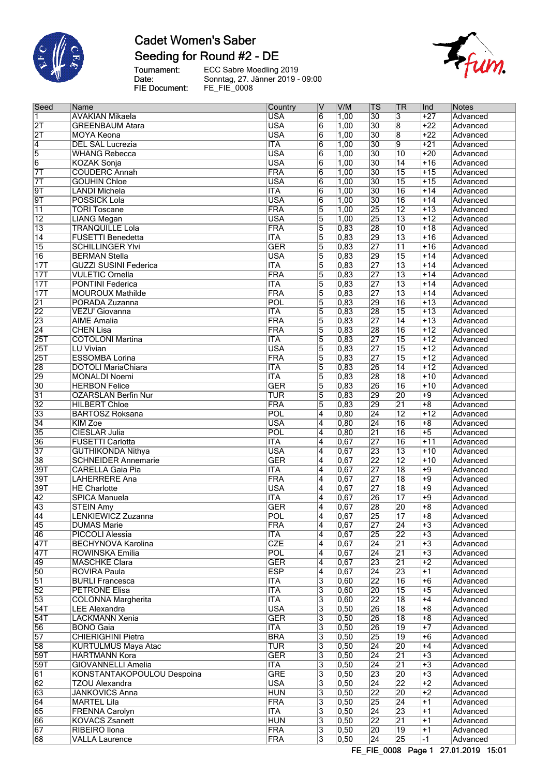

# **Cadet Women's Saber** Seeding for Round #2 - DE

Tournament:<br>Date:<br>FIE Document:



| $\sf{Seed}$      | Name                         | Country    | IV                      | V/M               | ∣TS             | <b>TR</b>       | ∣Ind            | <b>Notes</b> |
|------------------|------------------------------|------------|-------------------------|-------------------|-----------------|-----------------|-----------------|--------------|
| $\overline{1}$   | AVAKIAN Mikaela              | <b>USA</b> | 6                       | 1,00              | 30              | 3               | $+27$           | Advanced     |
| $\overline{2T}$  | <b>GREENBAUM Atara</b>       | <b>USA</b> | 6                       | 1,00              | 30              | $\overline{8}$  | $+22$           | Advanced     |
| $\overline{2T}$  | <b>MOYA Keona</b>            | <b>USA</b> | $\overline{6}$          | 1,00              | 30              | $\overline{8}$  | $+22$           | Advanced     |
| $\overline{4}$   | <b>DEL SAL Lucrezia</b>      | <b>ITA</b> | $\overline{6}$          | 1,00              | $\overline{30}$ | $\overline{9}$  | $+21$           | Advanced     |
|                  |                              | <b>USA</b> |                         |                   | 30              | $\overline{10}$ | $+20$           |              |
| $\overline{5}$   | <b>WHANG Rebecca</b>         |            | $\overline{6}$          | 1,00              |                 |                 |                 | Advanced     |
| $\overline{6}$   | <b>KOZAK Sonja</b>           | <b>USA</b> | 6                       | 1,00              | 30              | $\overline{14}$ | $+16$           | Advanced     |
| $\overline{7}$   | <b>COUDERC Annah</b>         | <b>FRA</b> | $\overline{6}$          | 1,00              | 30              | 15              | $+15$           | Advanced     |
| $\overline{7}$   | <b>GOUHIN Chloe</b>          | <b>USA</b> | $\overline{6}$          | 1,00              | 30              | 15              | $+15$           | Advanced     |
| $\overline{9T}$  | <b>LANDI Michela</b>         | <b>ITA</b> | 6                       | 1,00              | 30              | $\overline{16}$ | $+14$           | Advanced     |
| $\overline{9T}$  | <b>POSSICK Lola</b>          | <b>USA</b> | $\overline{6}$          | 1,00              | 30              | 16              | $+14$           | Advanced     |
|                  |                              | <b>FRA</b> |                         |                   |                 | $\overline{12}$ |                 |              |
| $\overline{11}$  | <b>TORI Toscane</b>          |            | 5                       | 1,00              | 25              |                 | $+13$           | Advanced     |
| $\overline{12}$  | <b>LIANG Megan</b>           | <b>USA</b> | 5                       | 1,00              | 25              | $\overline{13}$ | $+12$           | Advanced     |
| $\overline{13}$  | <b>TRANQUILLE Lola</b>       | <b>FRA</b> | 5                       | 0,83              | 28              | $\overline{10}$ | $+18$           | Advanced     |
| $\overline{14}$  | <b>FUSETTI Benedetta</b>     | <b>ITA</b> | 5                       | 0,83              | 29              | $\overline{13}$ | $+16$           | Advanced     |
| $\overline{15}$  | <b>SCHILLINGER YIvi</b>      | <b>GER</b> | $\overline{5}$          | 0,83              | 27              | $\overline{11}$ | $+16$           | Advanced     |
| $\overline{16}$  | <b>BERMAN Stella</b>         | <b>USA</b> | 5                       | 0,83              | 29              | 15              | $+14$           | Advanced     |
|                  |                              |            |                         |                   |                 |                 |                 |              |
| $\overline{17T}$ | <b>GUZZI SUSINI Federica</b> | <b>ITA</b> | 5                       | 0,83              | $\overline{27}$ | $\overline{13}$ | $+14$           | Advanced     |
| 17T              | <b>VULETIC Ornella</b>       | FRA        | $\overline{5}$          | 0,83              | 27              | $\overline{13}$ | $+14$           | Advanced     |
| 17T              | <b>PONTINI Federica</b>      | <b>ITA</b> | 5                       | 0,83              | $\overline{27}$ | $\overline{13}$ | $+14$           | Advanced     |
| 17T              | <b>MOUROUX Mathilde</b>      | <b>FRA</b> | 5                       | 0,83              | 27              | $\overline{13}$ | $+14$           | Advanced     |
| $\overline{21}$  | PORADA Zuzanna               | POL        | $\overline{5}$          | 0,83              | 29              | 16              | $+13$           | Advanced     |
|                  |                              |            |                         |                   |                 |                 |                 |              |
| $\overline{22}$  | VEZU' Giovanna               | <b>ITA</b> | 5                       | 0,83              | 28              | $\overline{15}$ | $+13$           | Advanced     |
| $\overline{23}$  | <b>AIME Amalia</b>           | <b>FRA</b> | 5                       | 0,83              | $\overline{27}$ | $\overline{14}$ | $+13$           | Advanced     |
| $\overline{24}$  | <b>CHEN Lisa</b>             | <b>FRA</b> | $\overline{5}$          | 0,83              | 28              | 16              | $+12$           | Advanced     |
| $\overline{25T}$ | <b>COTOLONI Martina</b>      | <b>ITA</b> | 5                       | 0,83              | $\overline{27}$ | 15              | $+12$           | Advanced     |
| $\overline{25T}$ | <b>LU Vivian</b>             | <b>USA</b> | 5                       | 0,83              | $\overline{27}$ | 15              | $+12$           | Advanced     |
| $\overline{25T}$ | <b>ESSOMBA Lorina</b>        | <b>FRA</b> |                         | 0,83              | 27              | 15              | $+12$           | Advanced     |
|                  |                              |            | $\overline{5}$          |                   |                 |                 |                 |              |
| 28               | <b>DOTOLI MariaChiara</b>    | <b>ITA</b> | 5                       | 0,83              | 26              | $\overline{14}$ | $+12$           | Advanced     |
| 29               | <b>MONALDI Noemi</b>         | <b>ITA</b> | $\overline{5}$          | 0,83              | 28              | 18              | $+10$           | Advanced     |
| 30               | <b>HERBON Felice</b>         | <b>GER</b> | $\overline{5}$          | 0,83              | 26              | 16              | $+10$           | Advanced     |
| $\overline{31}$  | <b>OZARSLAN Berfin Nur</b>   | <b>TUR</b> | 15                      | 0,83              | 29              | 20              | $+9$            | Advanced     |
| $\overline{32}$  | <b>HILBERT Chloe</b>         | <b>FRA</b> | 5                       | 0,83              | 29              | $\overline{21}$ | $\overline{+8}$ |              |
|                  |                              |            |                         |                   |                 |                 |                 | Advanced     |
| 33               | <b>BARTOSZ Roksana</b>       | POL        | 4                       | 0,80              | $\overline{24}$ | $\overline{12}$ | $+12$           | Advanced     |
| $\overline{34}$  | <b>KIM Zoe</b>               | <b>USA</b> | 4                       | 0,80              | $\overline{24}$ | 16              | $+8$            | Advanced     |
| 35               | <b>CIESLAR Julia</b>         | POL        | 4                       | 0,80              | $\overline{21}$ | 16              | $\overline{+5}$ | Advanced     |
| 36               | <b>FUSETTI Carlotta</b>      | <b>ITA</b> | $\overline{4}$          | 0,67              | 27              | 16              | $+11$           | Advanced     |
| 37               | <b>GUTHIKONDA Nithya</b>     | <b>USA</b> | $\overline{4}$          | 0,67              | 23              | $\overline{13}$ | $+10$           | Advanced     |
|                  |                              |            |                         |                   |                 |                 |                 |              |
| 38               | <b>SCHNEIDER Annemarie</b>   | <b>GER</b> | 4                       | 0,67              | 22              | $\overline{12}$ | $+10$           | Advanced     |
| 39T              | <b>CARELLA Gaia Pia</b>      | <b>ITA</b> | $\overline{4}$          | 0,67              | 27              | $\overline{18}$ | $+9$            | Advanced     |
| 39T              | <b>LAHERRERE Ana</b>         | <b>FRA</b> | 4                       | 0,67              | 27              | $\overline{18}$ | $\overline{+9}$ | Advanced     |
| 39T              | <b>HE</b> Charlotte          | <b>USA</b> | 4                       | 0,67              | 27              | $\overline{18}$ | $+9$            | Advanced     |
| 42               | <b>SPICA Manuela</b>         | <b>ITA</b> | 4                       | 0,67              | 26              | $\overline{17}$ | $+9$            | Advanced     |
| 43               | <b>STEIN Amy</b>             | <b>GER</b> | 4                       | 0,67              | 28              | 20              | $+8$            | Advanced     |
|                  |                              |            |                         |                   |                 |                 |                 |              |
| $\overline{44}$  | LENKIEWICZ Zuzanna           | POL        | $\overline{\mathtt{4}}$ | 0,67              | $\overline{25}$ | $\overline{17}$ | $+8$            | Advanced     |
| 45               | <b>DUMAS Marie</b>           | <b>FRA</b> | $\overline{4}$          | 0,67              | $\overline{27}$ | $\overline{24}$ | $+3$            | Advanced     |
| 46               | <b>PICCOLI Alessia</b>       | <b>ITA</b> | $\overline{4}$          | 0,67              | 25              | $\overline{22}$ | $+3$            | Advanced     |
| $\overline{47T}$ | <b>BECHYNOVA Karolina</b>    | <b>CZE</b> | $\overline{4}$          | 0,67              | 24              | 21              | $+3$            | Advanced     |
| $\overline{47T}$ | ROWINSKA Emilia              | <b>POL</b> | 4                       | 0,67              | $\overline{24}$ | $\overline{21}$ | $+3$            | Advanced     |
|                  |                              |            |                         |                   |                 |                 |                 |              |
| $\overline{49}$  | <b>MASCHKE Clara</b>         | <b>GER</b> | 4                       | 0,67              | 23              | $\overline{21}$ | $+2$            | Advanced     |
| 50               | <b>ROVIRA Paula</b>          | <b>ESP</b> | 4                       | 0,67              | 24              | 23              | $+1$            | Advanced     |
| $\overline{51}$  | <b>BURLI Francesca</b>       | ITA        | 3                       | 0,60              | 22              | 16              | $+6$            | Advanced     |
| $\overline{52}$  | <b>PETRONE Elisa</b>         | <b>ITA</b> | $\overline{3}$          | $\overline{0,60}$ | 20              | 15              | $+5$            | Advanced     |
| 53               | <b>COLONNA Margherita</b>    | <b>ITA</b> | $\overline{3}$          | 0,60              | 22              | $\overline{18}$ | $+4$            | Advanced     |
| 54T              | <b>LEE Alexandra</b>         | <b>USA</b> | 3                       | 0, 50             | 26              | 18              | $+8$            | Advanced     |
|                  |                              |            |                         |                   |                 |                 |                 |              |
| $\overline{54T}$ | LACKMANN Xenia               | <b>GER</b> | 3                       | 0,50              | 26              | $\overline{18}$ | $+8$            | Advanced     |
| 56               | <b>BONO Gaia</b>             | <b>ITA</b> | 3                       | 0, 50             | 26              | 19              | $+7$            | Advanced     |
| $\overline{57}$  | <b>CHIERIGHINI Pietra</b>    | <b>BRA</b> | 3                       | 0, 50             | 25              | $\overline{19}$ | $+6$            | Advanced     |
| 58               | KURTULMUS Maya Atac          | <b>TUR</b> | 3                       | 0, 50             | $\overline{24}$ | 20              | $+4$            | Advanced     |
| 59T              | <b>HARTMANN Kora</b>         | <b>GER</b> | 3                       | 0,50              | $\overline{24}$ | $\overline{21}$ | $+3$            | Advanced     |
|                  |                              |            |                         |                   |                 |                 |                 |              |
| 59T              | GIOVANNELLI Amelia           | ITA        | 3                       | 0,50              | $\overline{24}$ | $\overline{21}$ | $+3$            | Advanced     |
| 61               | KONSTANTAKOPOULOU Despoina   | <b>GRE</b> | $\overline{3}$          | $\overline{0,50}$ | 23              | $\overline{20}$ | $\overline{+3}$ | Advanced     |
| $\overline{62}$  | <b>TZOU Alexandra</b>        | <b>USA</b> | $\overline{3}$          | 0,50              | $\overline{24}$ | $\overline{22}$ | $+2$            | Advanced     |
| 63               | <b>JANKOVICS Anna</b>        | <b>HUN</b> | 3                       | 0, 50             | 22              | 20              | $+2$            | Advanced     |
| $\overline{64}$  | <b>MARTEL Lila</b>           | <b>FRA</b> | $\overline{3}$          | 0, 50             | 25              | $\overline{24}$ | $+1$            | Advanced     |
|                  |                              |            |                         |                   |                 |                 |                 |              |
| 65               | <b>FRENNA Carolyn</b>        | <b>ITA</b> | $\overline{3}$          | 0, 50             | 24              | 23              | $+1$            | Advanced     |
| 66               | <b>KOVACS Zsanett</b>        | <b>HUN</b> | 3                       | 0, 50             | 22              | $\overline{21}$ | $+1$            | Advanced     |
| 67               | <b>RIBEIRO Ilona</b>         | <b>FRA</b> | 3                       | $\overline{0,50}$ | 20              | $\overline{19}$ | $+1$            | Advanced     |
| 68               | <b>VALLA Laurence</b>        | <b>FRA</b> | $\overline{3}$          | 0,50              | $\overline{24}$ | 25              | $-1$            | Advanced     |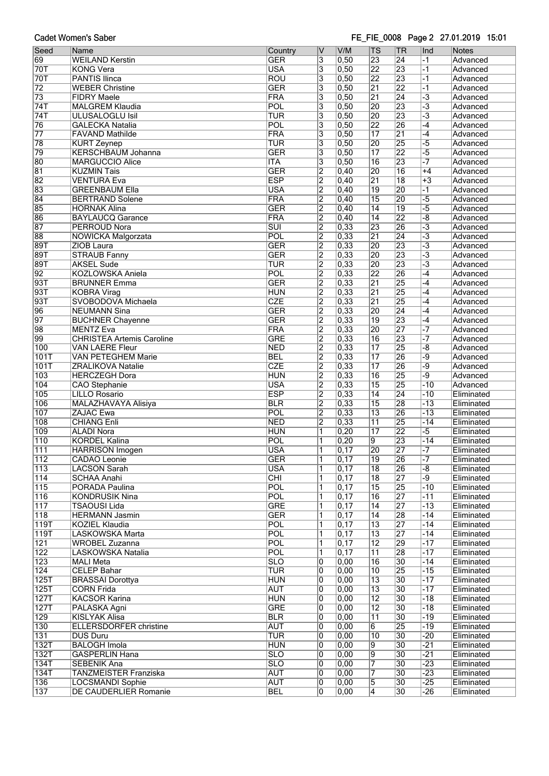### FE\_FIE\_0008 Page 2 27.01.2019 15:01

| Seed             | Name                                                       | Country                  | $\overline{\mathsf{v}}$                   | V/M                                    | <b>TS</b>             | <b>TR</b>                          | Ind                 | <b>Notes</b>             |
|------------------|------------------------------------------------------------|--------------------------|-------------------------------------------|----------------------------------------|-----------------------|------------------------------------|---------------------|--------------------------|
| 69               | <b>WEILAND Kerstin</b>                                     | <b>GER</b>               | $\overline{3}$                            | 0,50                                   | 23                    | 24                                 | $-1$                | Advanced                 |
| 70T              | <b>KONG Vera</b>                                           | <b>USA</b>               | $\overline{3}$                            | 0,50                                   | $\overline{22}$       | 23                                 | $-1$                | Advanced                 |
| 70T              | <b>PANTIS Ilinca</b>                                       | <b>ROU</b>               | $\overline{\overline{3}}$                 | 0,50                                   | $\overline{22}$       | 23                                 | $-1$                | Advanced                 |
| $\overline{72}$  | <b>WEBER Christine</b>                                     | <b>GER</b>               | $\overline{\overline{3}}$                 | 0,50                                   | $\overline{21}$       | $\overline{22}$                    | $-1$                | Advanced                 |
| $\overline{73}$  | <b>FIDRY Maele</b>                                         | <b>FRA</b>               | $\overline{3}$                            | 0,50                                   | $\overline{21}$       | $\overline{24}$                    | $\overline{-3}$     | Advanced                 |
| 74T              | <b>MALGREM Klaudia</b>                                     | POL                      | $\overline{\overline{3}}$                 | $\overline{0,50}$                      | $\overline{20}$       | 23                                 | $\overline{-3}$     | Advanced                 |
| 74T              | <b>ULUSALOGLU Isil</b>                                     | TUR                      | $\overline{\overline{3}}$                 | $\overline{0,50}$                      | $\overline{20}$       | 23                                 | $\overline{-3}$     | Advanced                 |
| $\overline{76}$  | <b>GALECKA Natalia</b>                                     | POL                      | $\overline{\overline{3}}$                 | 0,50                                   | $\overline{22}$       | 26                                 | $-4$                | Advanced                 |
| $\overline{77}$  | <b>FAVAND Mathilde</b>                                     | FRA                      | $\overline{\mathbf{3}}$                   | 0,50                                   | $\overline{17}$       | $\overline{21}$                    | $-4$                | Advanced                 |
| 78               | <b>KURT Zeynep</b>                                         | TUR                      | $\overline{3}$                            | 0,50                                   | 20                    | 25                                 | $\overline{-5}$     | Advanced                 |
| 79<br>80         | <b>KERSCHBAUM Johanna</b><br><b>MARGUCCIO Alice</b>        | <b>GER</b><br><b>ITA</b> | $\overline{\mathbf{3}}$                   | $\overline{0,50}$<br>0,50              | $\overline{17}$<br>16 | $\overline{22}$<br>23              | $-5$                | Advanced<br>Advanced     |
| 81               | <b>KUZMIN Tais</b>                                         | <b>GER</b>               | $\overline{\mathbf{3}}$<br>$\overline{2}$ | 0,40                                   | 20                    | $\overline{16}$                    | $+4$                | Advanced                 |
| 82               | <b>VENTURA Eva</b>                                         | <b>ESP</b>               | $\overline{2}$                            | 0,40                                   | $\overline{21}$       | $\overline{18}$                    | $+3$                | Advanced                 |
| 83               | <b>GREENBAUM Ella</b>                                      | USA                      | $\overline{2}$                            | 0,40                                   | 19                    | 20                                 | $-1$                | Advanced                 |
| 84               | <b>BERTRAND Solene</b>                                     | <b>FRA</b>               | $\overline{2}$                            | 0,40                                   | $\overline{15}$       | 20                                 | $\overline{-5}$     | Advanced                 |
| 85               | <b>HORNAK Alina</b>                                        | <b>GER</b>               | $\overline{2}$                            | 0,40                                   | $\overline{14}$       | $\overline{19}$                    | $-5$                | Advanced                 |
| 86               | <b>BAYLAUCQ Garance</b>                                    | <b>FRA</b>               | $\overline{2}$                            | 0,40                                   | $\overline{14}$       | $\overline{22}$                    | $-\overline{8}$     | Advanced                 |
| 87               | PERROUD Nora                                               | $\overline{\text{SUI}}$  | $\overline{2}$                            | 0,33                                   | 23                    | 26                                 | $\overline{\cdot}3$ | Advanced                 |
| 88               | NOWICKA Malgorzata                                         | POL                      | $\overline{2}$                            | $\overline{0,33}$                      | $\overline{21}$       | $\overline{24}$                    | $\overline{-3}$     | Advanced                 |
| 89T              | ZIOB Laura                                                 | <b>GER</b>               | $\overline{2}$                            | 0,33                                   | 20                    | 23                                 | $\overline{-3}$     | Advanced                 |
| 89T              | <b>STRAUB Fanny</b>                                        | <b>GER</b>               | $\overline{2}$                            | 0,33                                   | $\overline{20}$       | 23                                 | $\overline{-3}$     | Advanced                 |
| 89T              | <b>AKSEL Sude</b>                                          | TUR                      | $\overline{2}$                            | 0,33                                   | $\overline{20}$       | 23                                 | $\overline{-3}$     | Advanced                 |
| 92               | <b>KOZLOWSKA Aniela</b>                                    | POL                      | $\overline{2}$                            | 0,33                                   | $\overline{22}$       | 26                                 | $\overline{-4}$     | Advanced                 |
| 93T              | <b>BRUNNER Emma</b>                                        | <b>GER</b>               | $\overline{2}$                            | $\overline{0,33}$                      | $\overline{21}$       | 25                                 | $-4$                | Advanced                 |
| 93T              | <b>KOBRA Virag</b>                                         | <b>HUN</b>               | $\overline{2}$                            | 0,33                                   | $\overline{21}$       | 25                                 | $-4$                | Advanced                 |
| 93T              | SVOBODOVA Michaela                                         | CZE                      | $\overline{2}$                            | 0,33                                   | $\overline{21}$       | 25                                 | $-4$                | Advanced                 |
| 96               | <b>NEUMANN Sina</b>                                        | <b>GER</b>               | $\overline{2}$                            | $\overline{0,33}$                      | $\overline{20}$       | $\overline{24}$                    | $-4$                | Advanced                 |
| 97               | <b>BUCHNER Chayenne</b>                                    | <b>GER</b>               | $\overline{2}$                            | 0,33                                   | 19                    | 23                                 | $-4$                | Advanced                 |
| 98               | <b>MENTZ Eva</b>                                           | <b>FRA</b><br><b>GRE</b> | $\overline{2}$                            | 0,33                                   | $\overline{20}$       | 27<br>23                           |                     | Advanced                 |
| 99<br>100        | <b>CHRISTEA Artemis Caroline</b><br><b>VAN LAERE Fleur</b> | <b>NED</b>               | $\overline{2}$<br>$\overline{2}$          | $\overline{0,33}$<br>$\overline{0,33}$ | 16<br>$\overline{17}$ | 25                                 | -8                  | Advanced                 |
| 101T             | <b>VAN PETEGHEM Marie</b>                                  | <b>BEL</b>               | $\overline{2}$                            | 0,33                                   | $\overline{17}$       | 26                                 | -9                  | Advanced<br>Advanced     |
| 101T             | <b>ZRALIKOVA Natalie</b>                                   | <b>CZE</b>               | $\overline{2}$                            | $\overline{0,33}$                      | $\overline{17}$       | 26                                 | -9                  | Advanced                 |
| 103              | <b>HERCZEGH Dora</b>                                       | <b>HUN</b>               | $\overline{2}$                            | $\overline{0,33}$                      | $\overline{16}$       | 25                                 | -9                  | Advanced                 |
| 104              | <b>CAO</b> Stephanie                                       | <b>USA</b>               | $\overline{2}$                            | 0,33                                   | $\overline{15}$       | 25                                 | $-10$               | Advanced                 |
| 105              | <b>LILLO Rosario</b>                                       | <b>ESP</b>               | $\overline{2}$                            | 0,33                                   | $\overline{14}$       | $\overline{24}$                    | $-10$               | Eliminated               |
| 106              | <b>MALAZHAVAYA Alisiya</b>                                 | <b>BLR</b>               | $\overline{2}$                            | $\overline{0,33}$                      | $\overline{15}$       | 28                                 | $-13$               | Eliminated               |
| 107              | <b>ZAJAC Ewa</b>                                           | POL                      | $\overline{2}$                            | 0,33                                   | $\overline{13}$       | 26                                 | $-13$               | Eliminated               |
| 108              | <b>CHIANG Enli</b>                                         | <b>NED</b>               | $\overline{2}$                            | 0,33                                   | $\overline{11}$       | $\overline{25}$                    | $-14$               | Eliminated               |
| 109              | <b>ALADI Nora</b>                                          | <b>HUN</b>               | 1                                         | 0,20                                   | $\overline{17}$       | 22                                 | $\overline{-5}$     | Eliminated               |
| 110              | <b>KORDEL Kalina</b>                                       | POL                      | 1                                         | 0,20                                   | 9                     | 23                                 | $-14$               | Eliminated               |
| 111              | <b>HARRISON Imogen</b>                                     | <b>USA</b>               | $\overline{1}$                            | $\overline{0,17}$                      | $\overline{20}$       | 27                                 | -7                  | Eliminated               |
| 112              | <b>CADAO</b> Leonie                                        | <b>GER</b>               | 1                                         | 0, 17                                  | 19                    | 26                                 | -7                  | Eliminated               |
| 113              | <b>LACSON Sarah</b>                                        | <b>USA</b>               | 1                                         | $\overline{0,17}$                      | 18                    | 26                                 | -8                  | Eliminated               |
| 114              | <b>SCHAA Anahi</b>                                         | CHI                      | 1                                         | $\overline{0,17}$                      | $\overline{18}$       | 27                                 | $\overline{-9}$     | Eliminated               |
| 115              | PORADA Paulina                                             | POL<br><b>POL</b>        | 1<br>1                                    | $\overline{0,17}$<br>$\overline{0,17}$ | 15<br>16              | 25<br>$\overline{27}$              | $-10$               | Eliminated               |
| 116<br>117       | <b>KONDRUSIK Nina</b><br><b>TSAOUSI Lida</b>               | <b>GRE</b>               | 1                                         | $\overline{0,17}$                      | $\overline{14}$       | 27                                 | -11<br>$-13$        | Eliminated<br>Eliminated |
| $\overline{118}$ | <b>HERMANN Jasmin</b>                                      | <b>GER</b>               | $\overline{1}$                            | $\overline{0,17}$                      | $\overline{14}$       | 28                                 | $-14$               | Eliminated               |
| 119T             | KOZIEL Klaudia                                             | <b>POL</b>               | 1                                         | $\overline{0,17}$                      | 13                    | $\overline{27}$                    | $-14$               | Eliminated               |
| 119T             | LASKOWSKA Marta                                            | POL                      | 1                                         | 0,17                                   | 13                    | 27                                 | $-14$               | Eliminated               |
| 121              | <b>WROBEL Zuzanna</b>                                      | POL                      | 1                                         | 0, 17                                  | $\overline{12}$       | 29                                 | $-17$               | Eliminated               |
| 122              | LASKOWSKA Natalia                                          | POL                      | 1                                         | $\overline{0,17}$                      | 11                    | 28                                 | $-17$               | Eliminated               |
| 123              | <b>MALI Meta</b>                                           | SLO                      | 0                                         | 0,00                                   | 16                    | $\overline{30}$                    | $-14$               | Eliminated               |
| 124              | <b>CELEP Bahar</b>                                         | TUR                      | 0                                         | 0,00                                   | 10                    | 25                                 | $-15$               | Eliminated               |
| 125T             | <b>BRASSAI Dorottya</b>                                    | <b>HUN</b>               | 0                                         | $\overline{0,00}$                      | $\overline{13}$       | 30                                 | $-17$               | Eliminated               |
| 125T             | <b>CORN Frida</b>                                          | <b>AUT</b>               | 0                                         | $\overline{0,00}$                      | $\overline{13}$       | $\overline{30}$                    | $-17$               | Eliminated               |
| 127T             | <b>KACSOR Karina</b>                                       | <b>HUN</b>               | 0                                         | 0,00                                   | $\overline{12}$       | 30                                 | $-18$               | Eliminated               |
| 127T             | PALASKA Agni                                               | <b>GRE</b>               | 0                                         | 0,00                                   | 12                    | $\overline{30}$                    | $-18$               | Eliminated               |
| 129              | <b>KISLYAK Alisa</b>                                       | <b>BLR</b>               | $ 0\rangle$                               | $\overline{0,00}$                      | $\overline{11}$       | $\overline{30}$                    | $-19$               | Eliminated               |
| 130              | ELLERSDORFER christine                                     | <b>AUT</b>               | 0                                         | 0,00                                   | 6                     | $\overline{25}$                    | $-19$               | Eliminated               |
| 131              | <b>DUS Duru</b>                                            | <b>TUR</b>               | 0                                         | 0,00                                   | 10                    | 30                                 | $-20$               | Eliminated               |
| 132T<br>132T     | <b>BALOGH Imola</b><br><b>GASPERLIN Hana</b>               | <b>HUN</b><br>SLO        | 0<br>0                                    | $\overline{0,00}$<br> 0,00             | 9<br>$\overline{9}$   | $\overline{30}$<br>$\overline{30}$ | $-21$<br>$-21$      | Eliminated               |
| 134T             | <b>SEBENIK Ana</b>                                         | <b>SLO</b>               | 0                                         | 0,00                                   | 7                     | 30                                 | $-23$               | Eliminated<br>Eliminated |
| 134T             | <b>TANZMEISTER Franziska</b>                               | <b>AUT</b>               | 0                                         | $\overline{0,00}$                      | 7                     | $\overline{30}$                    | $-23$               | Eliminated               |
| 136              | <b>LOCSMANDI Sophie</b>                                    | <b>AUT</b>               | $\overline{0}$                            | 0,00                                   | 5                     | $\overline{30}$                    | $-25$               | Eliminated               |
| 137              | DE CAUDERLIER Romanie                                      | <b>BEL</b>               | 0                                         | 0,00                                   | $\overline{4}$        | 30                                 | $-26$               | Eliminated               |
|                  |                                                            |                          |                                           |                                        |                       |                                    |                     |                          |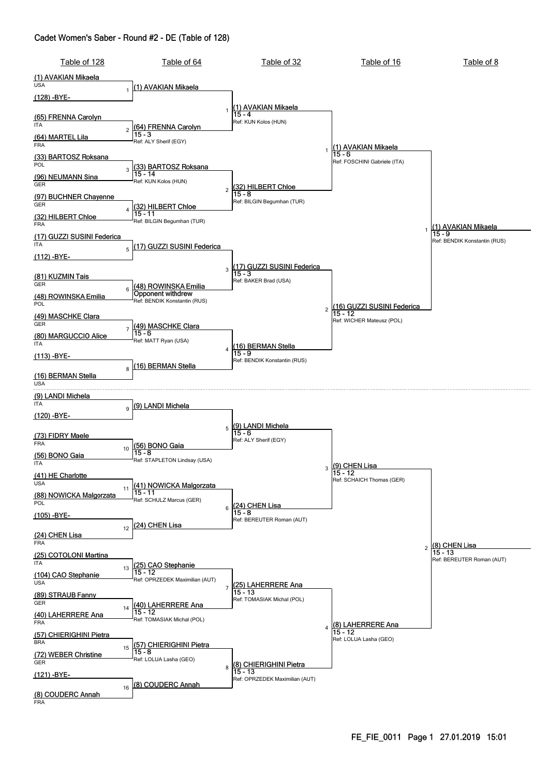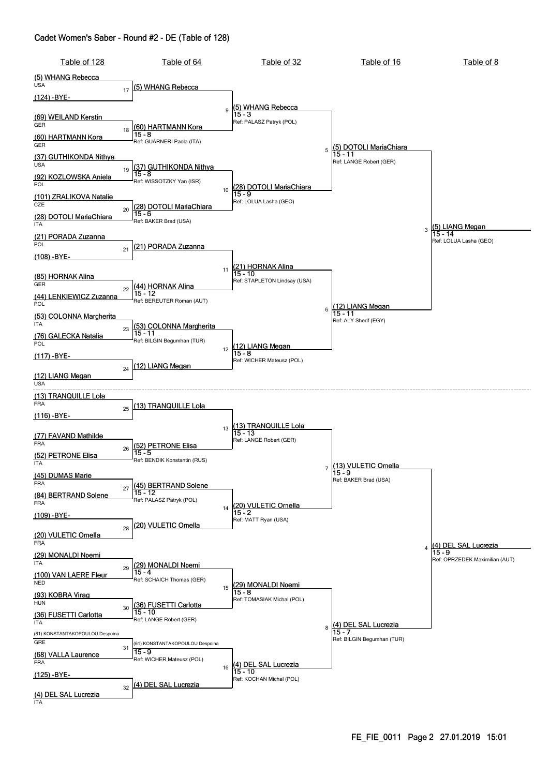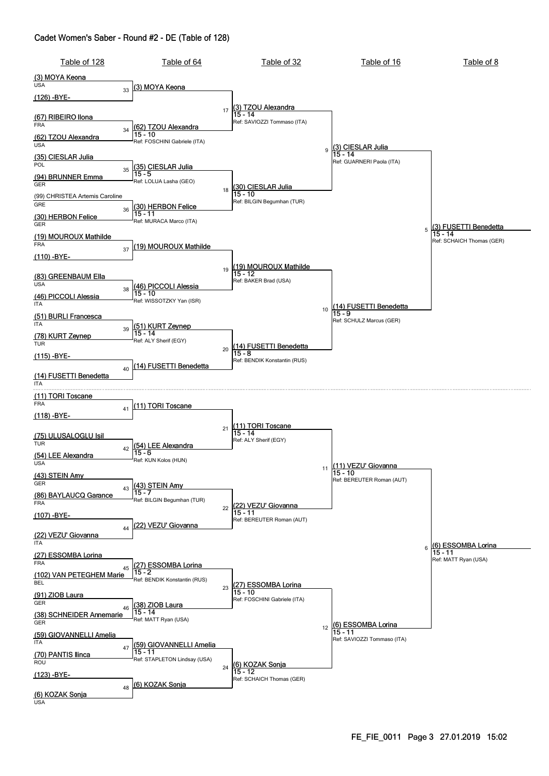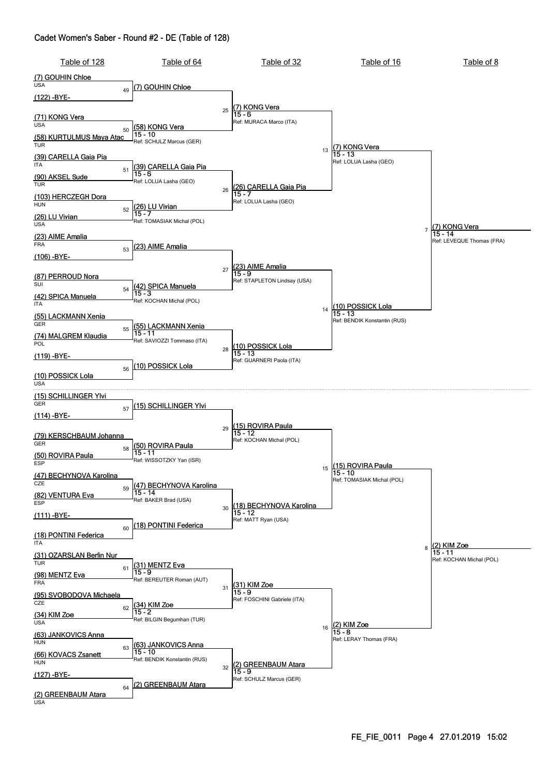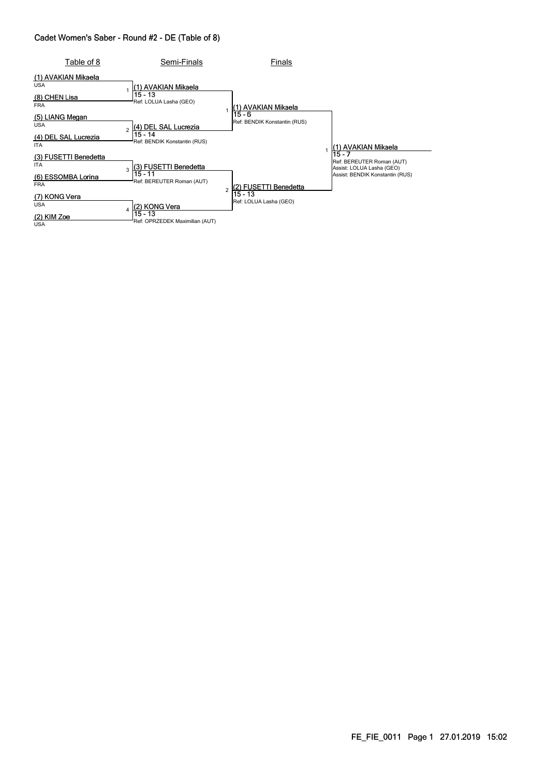| Table of 8                                                              | Semi-Finals                                                                       | Finals                                 |        |                                                                                           |
|-------------------------------------------------------------------------|-----------------------------------------------------------------------------------|----------------------------------------|--------|-------------------------------------------------------------------------------------------|
| (1) AVAKIAN Mikaela<br><b>USA</b><br>(8) CHEN Lisa<br><b>FRA</b>        | (1) AVAKIAN Mikaela<br>$15 - 13$<br>Ref: LOLUA Lasha (GEO)                        | (1) AVAKIAN Mikaela                    |        |                                                                                           |
| (5) LIANG Megan<br><b>USA</b><br>(4) DEL SAL Lucrezia<br><b>ITA</b>     | (4) DEL SAL Lucrezia<br>$\overline{a}$<br>15 - 14<br>Ref: BENDIK Konstantin (RUS) | 15 - 6<br>Ref: BENDIK Konstantin (RUS) |        | 1) AVAKIAN Mikaela                                                                        |
| (3) FUSETTI Benedetta<br><b>ITA</b><br>(6) ESSOMBA Lorina<br><b>FRA</b> | (3) FUSETTI Benedetta<br>3<br>15 - 11<br>Ref: BEREUTER Roman (AUT)                | (2) FUSETTI Benedetta                  | 15 - 7 | Ref: BEREUTER Roman (AUT)<br>Assist: LOLUA Lasha (GEO)<br>Assist: BENDIK Konstantin (RUS) |
| (7) KONG Vera<br><b>USA</b><br>$(2)$ KIM Zoe<br><b>USA</b>              | (2) KONG Vera<br>$\overline{4}$<br>$15 - 13$<br>Ref: OPRZEDEK Maximilian (AUT)    | 15 - 13<br>Ref: LOLUA Lasha (GEO)      |        |                                                                                           |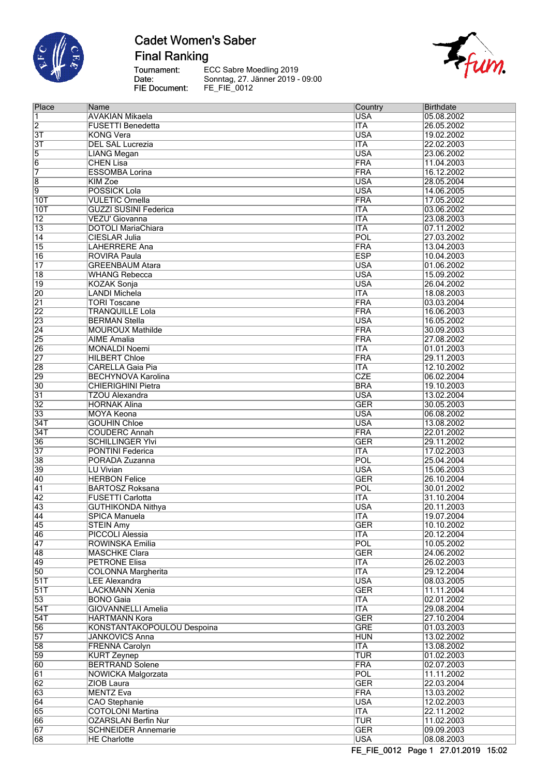

# **Cadet Women's Saber Final Ranking**

Tournament:<br>Date: FIE Document:



| Place           | Name                         | Country    | <b>Birthdate</b> |
|-----------------|------------------------------|------------|------------------|
| 1               | AVAKIAN Mikaela              | <b>USA</b> | 05.08.2002       |
| $\overline{2}$  | <b>FUSETTI Benedetta</b>     | <b>ITA</b> | 26.05.2002       |
| $\overline{3T}$ | <b>KONG Vera</b>             | <b>USA</b> | 19.02.2002       |
| $\overline{3T}$ | <b>DEL SAL Lucrezia</b>      | <b>ITA</b> | 22.02.2003       |
| $\overline{5}$  | <b>LIANG Megan</b>           | <b>USA</b> | 23.06.2002       |
| $\overline{6}$  | <b>CHEN Lisa</b>             | FRA        | 11.04.2003       |
| 7               | <b>ESSOMBA Lorina</b>        | <b>FRA</b> | 16.12.2002       |
| $\overline{8}$  | <b>KIM Zoe</b>               | <b>USA</b> | 28.05.2004       |
| $\overline{9}$  | <b>POSSICK Lola</b>          | <b>USA</b> | 14.06.2005       |
| 10T             | <b>VULETIC Ornella</b>       | <b>FRA</b> | 17.05.2002       |
| 10T             | <b>GUZZI SUSINI Federica</b> | <b>ITA</b> | 03.06.2002       |
| $\overline{12}$ | VEZU' Giovanna               | <b>ITA</b> | 23.08.2003       |
| $\overline{13}$ | <b>DOTOLI MariaChiara</b>    | <b>ITA</b> | 07.11.2002       |
| $\overline{14}$ | <b>CIESLAR Julia</b>         | POL        | 27.03.2002       |
| 15              | <b>LAHERRERE Ana</b>         | <b>FRA</b> | 13.04.2003       |
| 16              | <b>ROVIRA Paula</b>          | <b>ESP</b> | 10.04.2003       |
| $\overline{17}$ | <b>GREENBAUM Atara</b>       | <b>USA</b> | 01.06.2002       |
|                 |                              | <b>USA</b> |                  |
| $\overline{18}$ | <b>WHANG Rebecca</b>         |            | 15.09.2002       |
| $\overline{19}$ | <b>KOZAK Sonja</b>           | <b>USA</b> | 26.04.2002       |
| 20              | <b>LANDI Michela</b>         | <b>ITA</b> | 18.08.2003       |
| $\overline{21}$ | <b>TORI Toscane</b>          | <b>FRA</b> | 03.03.2004       |
| $\overline{22}$ | <b>TRANQUILLE Lola</b>       | <b>FRA</b> | 16.06.2003       |
| 23              | <b>BERMAN Stella</b>         | <b>USA</b> | 16.05.2002       |
| $\overline{24}$ | <b>MOUROUX Mathilde</b>      | <b>FRA</b> | 30.09.2003       |
| 25              | <b>AIME</b> Amalia           | FRA        | 27.08.2002       |
| 26              | <b>MONALDI Noemi</b>         | <b>ITA</b> | 01.01.2003       |
| $\overline{27}$ | <b>HILBERT Chloe</b>         | <b>FRA</b> | 29.11.2003       |
| 28              | <b>CARELLA Gaia Pia</b>      | <b>ITA</b> | 12.10.2002       |
| 29              | <b>BECHYNOVA Karolina</b>    | <b>CZE</b> | 06.02.2004       |
| $\overline{30}$ | <b>CHIERIGHINI Pietra</b>    | <b>BRA</b> | 19.10.2003       |
| $\overline{31}$ | <b>TZOU Alexandra</b>        | <b>USA</b> | 13.02.2004       |
| $\overline{32}$ | <b>HORNAK Alina</b>          | <b>GER</b> | 30.05.2003       |
| $\overline{33}$ | <b>MOYA Keona</b>            | <b>USA</b> | 06.08.2002       |
| 34T             | <b>GOUHIN Chloe</b>          | <b>USA</b> | 13.08.2002       |
| 34T             | <b>COUDERC Annah</b>         | <b>FRA</b> | 22.01.2002       |
| 36              | <b>SCHILLINGER YIvi</b>      | <b>GER</b> | 29.11.2002       |
| 37              | <b>PONTINI Federica</b>      | <b>ITA</b> | 17.02.2003       |
| 38              | PORADA Zuzanna               | POL        | 25.04.2004       |
| 39              | <b>LU Vivian</b>             | <b>USA</b> | 15.06.2003       |
| 40              | <b>HERBON Felice</b>         | <b>GER</b> | 26.10.2004       |
| $\overline{41}$ | <b>BARTOSZ Roksana</b>       | <b>POL</b> | 30.01.2002       |
| 42              | <b>FUSETTI Carlotta</b>      | <b>ITA</b> | 31.10.2004       |
| 43              | <b>GUTHIKONDA Nithya</b>     | <b>USA</b> | 20.11.2003       |
| 44              | <b>SPICA Manuela</b>         | <b>ITA</b> | 19.07.2004       |
| 45              | <b>STEIN Amy</b>             | <b>GER</b> | 10.10.2002       |
| 46              | <b>PICCOLI Alessia</b>       | <b>ITA</b> | 20.12.2004       |
| $\overline{47}$ | ROWINSKA Emilia              | POL        | 10.05.2002       |
| 48              | <b>MASCHKE Clara</b>         | <b>GER</b> | 24.06.2002       |
| 49              | <b>PETRONE Elisa</b>         | <b>ITA</b> | 26.02.2003       |
| $\overline{50}$ | <b>COLONNA Margherita</b>    | <b>ITA</b> | 29.12.2004       |
| 51T             | <b>LEE Alexandra</b>         | <b>USA</b> | 08.03.2005       |
| 51T             | <b>LACKMANN Xenia</b>        | <b>GER</b> | 11.11.2004       |
| $\overline{53}$ | <b>BONO</b> Gaia             | <b>ITA</b> | 02.01.2002       |
|                 | <b>GIOVANNELLI Amelia</b>    |            |                  |
| 54T             |                              | <b>ITA</b> | 29.08.2004       |
| 54T             | HARTMANN Kora                | <b>GER</b> | 27.10.2004       |
| 56              | KONSTANTAKOPOULOU Despoina   | <b>GRE</b> | 01.03.2003       |
| $\overline{57}$ | <b>JANKOVICS Anna</b>        | <b>HUN</b> | 13.02.2002       |
| 58              | <b>FRENNA Carolyn</b>        | <b>ITA</b> | 13.08.2002       |
| 59              | <b>KURT Zeynep</b>           | <b>TUR</b> | 01.02.2003       |
| 60              | <b>BERTRAND Solene</b>       | <b>FRA</b> | 02.07.2003       |
| $\overline{61}$ | NOWICKA Malgorzata           | <b>POL</b> | 11.11.2002       |
| $\overline{62}$ | ZIOB Laura                   | <b>GER</b> | 22.03.2004       |
| 63              | <b>MENTZ Eva</b>             | <b>FRA</b> | 13.03.2002       |
| 64              | <b>CAO</b> Stephanie         | <b>USA</b> | 12.02.2003       |
| 65              | <b>COTOLONI Martina</b>      | <b>ITA</b> | 22.11.2002       |
| 66              | <b>OZARSLAN Berfin Nur</b>   | <b>TUR</b> | 11.02.2003       |
| 67              | <b>SCHNEIDER Annemarie</b>   | <b>GER</b> | 09.09.2003       |
| 68              | <b>HE Charlotte</b>          | <b>USA</b> | 08.08.2003       |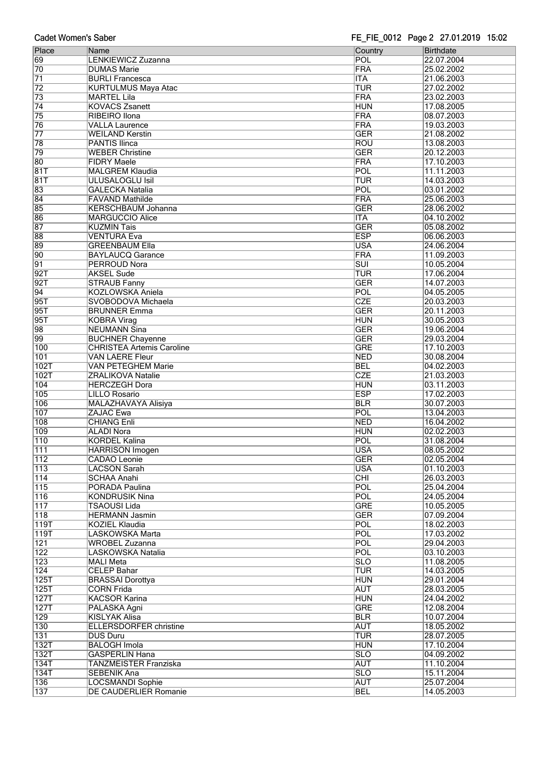|  | <b>Cadet Women's Saber</b> |  |
|--|----------------------------|--|
|--|----------------------------|--|

| ouuct monich s oubci |                                  | $\frac{1}{2}$ $\frac{1}{2}$ $\frac{1}{2}$ $\frac{1}{2}$ $\frac{1}{2}$ $\frac{1}{2}$ $\frac{1}{2}$ $\frac{1}{2}$ $\frac{1}{2}$ $\frac{1}{2}$ $\frac{1}{2}$ $\frac{1}{2}$ $\frac{1}{2}$ $\frac{1}{2}$ $\frac{1}{2}$ $\frac{1}{2}$ $\frac{1}{2}$ $\frac{1}{2}$ $\frac{1}{2}$ $\frac{1}{2}$ $\frac{1}{2}$ $\frac{1}{2}$ |            |
|----------------------|----------------------------------|---------------------------------------------------------------------------------------------------------------------------------------------------------------------------------------------------------------------------------------------------------------------------------------------------------------------|------------|
| Place                | Name                             | Country                                                                                                                                                                                                                                                                                                             | Birthdate  |
| 69                   | LENKIEWICZ Zuzanna               | POL                                                                                                                                                                                                                                                                                                                 | 22.07.2004 |
|                      |                                  |                                                                                                                                                                                                                                                                                                                     |            |
| 70                   | <b>DUMAS Marie</b>               | FRA                                                                                                                                                                                                                                                                                                                 | 25.02.2002 |
| 71                   | <b>BURLI Francesca</b>           | <b>ITA</b>                                                                                                                                                                                                                                                                                                          | 21.06.2003 |
| $\overline{72}$      | <b>KURTULMUS Maya Atac</b>       | <b>TUR</b>                                                                                                                                                                                                                                                                                                          | 27.02.2002 |
| 73                   | <b>MARTEL Lila</b>               | FRA                                                                                                                                                                                                                                                                                                                 | 23.02.2003 |
|                      |                                  |                                                                                                                                                                                                                                                                                                                     |            |
| $\overline{74}$      | <b>KOVACS Zsanett</b>            | <b>HUN</b>                                                                                                                                                                                                                                                                                                          | 17.08.2005 |
| $\overline{75}$      | <b>RIBEIRO</b> Ilona             | FRA                                                                                                                                                                                                                                                                                                                 | 08.07.2003 |
| $\overline{76}$      | <b>VALLA Laurence</b>            | <b>FRA</b>                                                                                                                                                                                                                                                                                                          | 19.03.2003 |
| $\overline{77}$      | <b>WEILAND Kerstin</b>           | <b>GER</b>                                                                                                                                                                                                                                                                                                          |            |
|                      |                                  |                                                                                                                                                                                                                                                                                                                     | 21.08.2002 |
| 78                   | <b>PANTIS Ilinca</b>             | ROU                                                                                                                                                                                                                                                                                                                 | 13.08.2003 |
| 79                   | <b>WEBER Christine</b>           | <b>GER</b>                                                                                                                                                                                                                                                                                                          | 20.12.2003 |
| 80                   | <b>FIDRY Maele</b>               | FRA                                                                                                                                                                                                                                                                                                                 | 17.10.2003 |
|                      |                                  | POL                                                                                                                                                                                                                                                                                                                 |            |
| 81T                  | <b>MALGREM Klaudia</b>           |                                                                                                                                                                                                                                                                                                                     | 11.11.2003 |
| 81T                  | <b>ULUSALOGLU Isil</b>           | <b>TUR</b>                                                                                                                                                                                                                                                                                                          | 14.03.2003 |
| 83                   | <b>GALECKA Natalia</b>           | POL                                                                                                                                                                                                                                                                                                                 | 03.01.2002 |
| 84                   | <b>FAVAND Mathilde</b>           | FRA                                                                                                                                                                                                                                                                                                                 | 25.06.2003 |
|                      |                                  |                                                                                                                                                                                                                                                                                                                     |            |
| 85                   | <b>KERSCHBAUM Johanna</b>        | <b>GER</b>                                                                                                                                                                                                                                                                                                          | 28.06.2002 |
| 86                   | <b>MARGUCCIO Alice</b>           | <b>ITA</b>                                                                                                                                                                                                                                                                                                          | 04.10.2002 |
| 87                   | <b>KUZMIN Tais</b>               | <b>GER</b>                                                                                                                                                                                                                                                                                                          | 05.08.2002 |
| 88                   | <b>VENTURA Eva</b>               | <b>ESP</b>                                                                                                                                                                                                                                                                                                          | 06.06.2003 |
|                      |                                  |                                                                                                                                                                                                                                                                                                                     |            |
| 89                   | <b>GREENBAUM Ella</b>            | <b>USA</b>                                                                                                                                                                                                                                                                                                          | 24.06.2004 |
| 90                   | <b>BAYLAUCQ Garance</b>          | FRA                                                                                                                                                                                                                                                                                                                 | 11.09.2003 |
| $\overline{91}$      | <b>PERROUD Nora</b>              | <b>SUI</b>                                                                                                                                                                                                                                                                                                          | 10.05.2004 |
|                      |                                  |                                                                                                                                                                                                                                                                                                                     |            |
| 92T                  | <b>AKSEL Sude</b>                | <b>TUR</b>                                                                                                                                                                                                                                                                                                          | 17.06.2004 |
| 92T                  | <b>STRAUB Fanny</b>              | <b>GER</b>                                                                                                                                                                                                                                                                                                          | 14.07.2003 |
| $\overline{94}$      | <b>KOZLOWSKA Aniela</b>          | POL                                                                                                                                                                                                                                                                                                                 | 04.05.2005 |
| 95T                  |                                  | <b>CZE</b>                                                                                                                                                                                                                                                                                                          |            |
|                      | SVOBODOVA Michaela               |                                                                                                                                                                                                                                                                                                                     | 20.03.2003 |
| 95T                  | <b>BRUNNER Emma</b>              | <b>GER</b>                                                                                                                                                                                                                                                                                                          | 20.11.2003 |
| 95T                  | <b>KOBRA Virag</b>               | <b>HUN</b>                                                                                                                                                                                                                                                                                                          | 30.05.2003 |
| 98                   | <b>NEUMANN Sina</b>              | <b>GER</b>                                                                                                                                                                                                                                                                                                          | 19.06.2004 |
|                      |                                  |                                                                                                                                                                                                                                                                                                                     |            |
| 99                   | <b>BUCHNER Chayenne</b>          | <b>GER</b>                                                                                                                                                                                                                                                                                                          | 29.03.2004 |
| 100                  | <b>CHRISTEA Artemis Caroline</b> | <b>GRE</b>                                                                                                                                                                                                                                                                                                          | 17.10.2003 |
| 101                  | <b>VAN LAERE Fleur</b>           | <b>NED</b>                                                                                                                                                                                                                                                                                                          | 30.08.2004 |
| 102T                 | <b>VAN PETEGHEM Marie</b>        | <b>BEL</b>                                                                                                                                                                                                                                                                                                          | 04.02.2003 |
|                      |                                  |                                                                                                                                                                                                                                                                                                                     |            |
| 102T                 | <b>ZRALIKOVA Natalie</b>         | <b>CZE</b>                                                                                                                                                                                                                                                                                                          | 21.03.2003 |
| 104                  | <b>HERCZEGH Dora</b>             | <b>HUN</b>                                                                                                                                                                                                                                                                                                          | 03.11.2003 |
| 105                  | <b>LILLO Rosario</b>             | <b>ESP</b>                                                                                                                                                                                                                                                                                                          | 17.02.2003 |
|                      |                                  |                                                                                                                                                                                                                                                                                                                     |            |
| $\overline{106}$     | MALAZHAVAYA Alisiya              | <b>BLR</b>                                                                                                                                                                                                                                                                                                          | 30.07.2003 |
| 107                  | <b>ZAJAC Ewa</b>                 | POL                                                                                                                                                                                                                                                                                                                 | 13.04.2003 |
| 108                  | <b>CHIANG Enli</b>               | <b>NED</b>                                                                                                                                                                                                                                                                                                          | 16.04.2002 |
| 109                  | <b>ALADI Nora</b>                | <b>HUN</b>                                                                                                                                                                                                                                                                                                          | 02.02.2003 |
|                      |                                  |                                                                                                                                                                                                                                                                                                                     |            |
| 110                  | <b>KORDEL Kalina</b>             | POL                                                                                                                                                                                                                                                                                                                 | 31.08.2004 |
| 111                  | <b>HARRISON Imogen</b>           | <b>USA</b>                                                                                                                                                                                                                                                                                                          | 08.05.2002 |
| 112                  | CADAO Leonie                     | <b>GER</b>                                                                                                                                                                                                                                                                                                          | 02.05.2004 |
| 113                  |                                  |                                                                                                                                                                                                                                                                                                                     |            |
|                      | <b>LACSON Sarah</b>              | <b>USA</b>                                                                                                                                                                                                                                                                                                          | 01.10.2003 |
| 114                  | <b>SCHAA Anahi</b>               | CHI                                                                                                                                                                                                                                                                                                                 | 26.03.2003 |
| 115                  | PORADA Paulina                   | POL                                                                                                                                                                                                                                                                                                                 | 25.04.2004 |
| 116                  | <b>KONDRUSIK Nina</b>            | POL                                                                                                                                                                                                                                                                                                                 | 24.05.2004 |
| 117                  | TSAOUSI Lida                     | <b>GRE</b>                                                                                                                                                                                                                                                                                                          | 10.05.2005 |
|                      |                                  |                                                                                                                                                                                                                                                                                                                     |            |
| $\overline{118}$     | <b>HERMANN Jasmin</b>            | <b>GER</b>                                                                                                                                                                                                                                                                                                          | 07.09.2004 |
| 119T                 | <b>KOZIEL Klaudia</b>            | POL                                                                                                                                                                                                                                                                                                                 | 18.02.2003 |
| 119T                 | LASKOWSKA Marta                  | POL                                                                                                                                                                                                                                                                                                                 | 17.03.2002 |
|                      |                                  |                                                                                                                                                                                                                                                                                                                     |            |
| 121                  | <b>WROBEL Zuzanna</b>            | POL                                                                                                                                                                                                                                                                                                                 | 29.04.2003 |
| $\overline{122}$     | LASKOWSKA Natalia                | POL                                                                                                                                                                                                                                                                                                                 | 03.10.2003 |
| 123                  | <b>MALI Meta</b>                 | <b>SLO</b>                                                                                                                                                                                                                                                                                                          | 11.08.2005 |
| 124                  | <b>CELEP Bahar</b>               | <b>TUR</b>                                                                                                                                                                                                                                                                                                          | 14.03.2005 |
|                      |                                  |                                                                                                                                                                                                                                                                                                                     |            |
| 125T                 | <b>BRASSAI Dorottya</b>          | <b>HUN</b>                                                                                                                                                                                                                                                                                                          | 29.01.2004 |
| 125T                 | <b>CORN Frida</b>                | <b>AUT</b>                                                                                                                                                                                                                                                                                                          | 28.03.2005 |
| 127T                 | <b>KACSOR Karina</b>             | <b>HUN</b>                                                                                                                                                                                                                                                                                                          | 24.04.2002 |
|                      |                                  |                                                                                                                                                                                                                                                                                                                     |            |
| 127T                 | PALASKA Agni                     | <b>GRE</b>                                                                                                                                                                                                                                                                                                          | 12.08.2004 |
| 129                  | <b>KISLYAK Alisa</b>             | <b>BLR</b>                                                                                                                                                                                                                                                                                                          | 10.07.2004 |
| 130                  | <b>ELLERSDORFER christine</b>    | <b>AUT</b>                                                                                                                                                                                                                                                                                                          | 18.05.2002 |
| 131                  | <b>DUS Duru</b>                  | <b>TUR</b>                                                                                                                                                                                                                                                                                                          | 28.07.2005 |
|                      |                                  |                                                                                                                                                                                                                                                                                                                     |            |
| 132T                 | <b>BALOGH Imola</b>              | <b>HUN</b>                                                                                                                                                                                                                                                                                                          | 17.10.2004 |
| 132T                 | <b>GASPERLIN Hana</b>            | SLO                                                                                                                                                                                                                                                                                                                 | 04.09.2002 |
| 134T                 | <b>TANZMEISTER Franziska</b>     | <b>AUT</b>                                                                                                                                                                                                                                                                                                          | 11.10.2004 |
| 134T                 |                                  | $\overline{\text{SLO}}$                                                                                                                                                                                                                                                                                             | 15.11.2004 |
|                      | <b>SEBENIK Ana</b>               |                                                                                                                                                                                                                                                                                                                     |            |
| 136                  | <b>LOCSMANDI Sophie</b>          | <b>AUT</b>                                                                                                                                                                                                                                                                                                          | 25.07.2004 |
| 137                  | DE CAUDERLIER Romanie            | <b>BEL</b>                                                                                                                                                                                                                                                                                                          | 14.05.2003 |
|                      |                                  |                                                                                                                                                                                                                                                                                                                     |            |